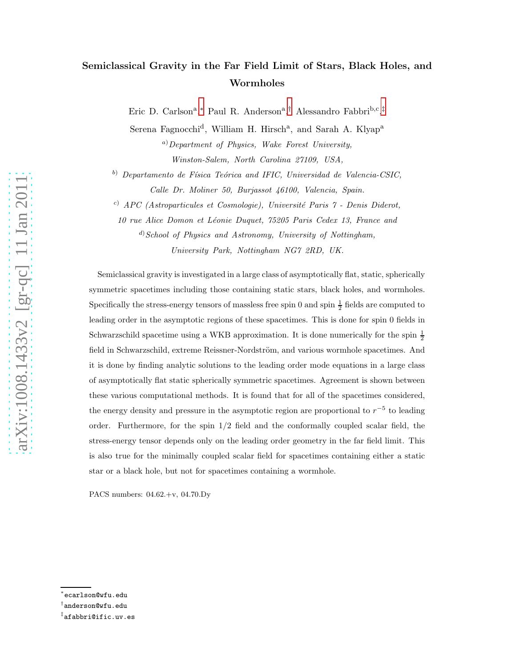# Semiclassical Gravity in the Far Field Limit of Stars, Black Holes, and Wormholes

Eric D. Carlson<sup>a</sup>,\* Paul R. Anderson<sup>a</sup>,<sup>[†](#page-0-1)</sup> Alessandro Fabbri<sup>b,c</sup>,<sup>[‡](#page-0-2)</sup>

Serena Fagnocchi<sup>d</sup>, William H. Hirsch<sup>a</sup>, and Sarah A. Klyap<sup>a</sup>

<sup>a</sup>)Department of Physics, Wake Forest University, Winston-Salem, North Carolina 27109, USA,

 $^{(b)}$  Departamento de Física Teórica and IFIC, Universidad de Valencia-CSIC, Calle Dr. Moliner 50, Burjassot 46100, Valencia, Spain.

<sup>c)</sup> APC (Astroparticules et Cosmologie), Université Paris 7 - Denis Diderot,

10 rue Alice Domon et Léonie Duquet, 75205 Paris Cedex 13, France and

 $\alpha^{(d)}$ School of Physics and Astronomy, University of Nottingham, University Park, Nottingham NG7 2RD, UK.

Semiclassical gravity is investigated in a large class of asymptotically flat, static, spherically symmetric spacetimes including those containing static stars, black holes, and wormholes. Specifically the stress-energy tensors of massless free spin 0 and spin  $\frac{1}{2}$  fields are computed to leading order in the asymptotic regions of these spacetimes. This is done for spin 0 fields in Schwarzschild spacetime using a WKB approximation. It is done numerically for the spin  $\frac{1}{2}$ field in Schwarzschild, extreme Reissner-Nordström, and various wormhole spacetimes. And it is done by finding analytic solutions to the leading order mode equations in a large class of asymptotically flat static spherically symmetric spacetimes. Agreement is shown between these various computational methods. It is found that for all of the spacetimes considered, the energy density and pressure in the asymptotic region are proportional to  $r^{-5}$  to leading order. Furthermore, for the spin  $1/2$  field and the conformally coupled scalar field, the stress-energy tensor depends only on the leading order geometry in the far field limit. This is also true for the minimally coupled scalar field for spacetimes containing either a static star or a black hole, but not for spacetimes containing a wormhole.

PACS numbers: 04.62.+v, 04.70.Dy

<span id="page-0-0"></span><sup>∗</sup> ecarlson@wfu.edu

<span id="page-0-1"></span> $^\dagger$ anderson@wfu.edu

<span id="page-0-2"></span><sup>‡</sup> afabbri@ific.uv.es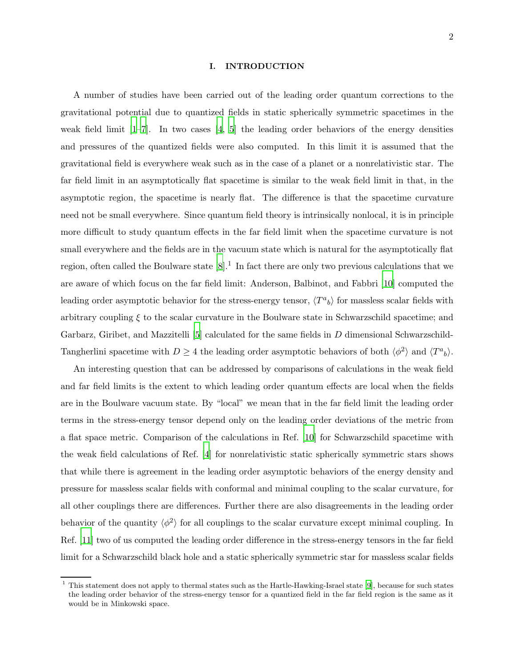#### I. INTRODUCTION

A number of studies have been carried out of the leading order quantum corrections to the gravitational potential due to quantized fields in static spherically symmetric spacetimes in the weak field limit  $[1-7]$ . In two cases  $[4, 5]$  $[4, 5]$  the leading order behaviors of the energy densities and pressures of the quantized fields were also computed. In this limit it is assumed that the gravitational field is everywhere weak such as in the case of a planet or a nonrelativistic star. The far field limit in an asymptotically flat spacetime is similar to the weak field limit in that, in the asymptotic region, the spacetime is nearly flat. The difference is that the spacetime curvature need not be small everywhere. Since quantum field theory is intrinsically nonlocal, it is in principle more difficult to study quantum effects in the far field limit when the spacetime curvature is not small everywhere and the fields are in the vacuum state which is natural for the asymptotically flat region, often called the Boulware state  $[8]$ .<sup>1</sup> In fact there are only two previous calculations that we are aware of which focus on the far field limit: Anderson, Balbinot, and Fabbri [\[10](#page-42-5)] computed the leading order asymptotic behavior for the stress-energy tensor,  $\langle T^a{}_b \rangle$  for massless scalar fields with arbitrary coupling  $\xi$  to the scalar curvature in the Boulware state in Schwarzschild spacetime; and Garbarz, Giribet, and Mazzitelli [\[5](#page-42-3)] calculated for the same fields in D dimensional Schwarzschild-Tangherlini spacetime with  $D \geq 4$  the leading order asymptotic behaviors of both  $\langle \phi^2 \rangle$  and  $\langle T^a{}_b \rangle$ .

An interesting question that can be addressed by comparisons of calculations in the weak field and far field limits is the extent to which leading order quantum effects are local when the fields are in the Boulware vacuum state. By "local" we mean that in the far field limit the leading order terms in the stress-energy tensor depend only on the leading order deviations of the metric from a flat space metric. Comparison of the calculations in Ref. [\[10\]](#page-42-5) for Schwarzschild spacetime with the weak field calculations of Ref. [\[4](#page-42-2)] for nonrelativistic static spherically symmetric stars shows that while there is agreement in the leading order asymptotic behaviors of the energy density and pressure for massless scalar fields with conformal and minimal coupling to the scalar curvature, for all other couplings there are differences. Further there are also disagreements in the leading order behavior of the quantity  $\langle \phi^2 \rangle$  for all couplings to the scalar curvature except minimal coupling. In Ref. [\[11](#page-42-6)] two of us computed the leading order difference in the stress-energy tensors in the far field limit for a Schwarzschild black hole and a static spherically symmetric star for massless scalar fields

<sup>1</sup> This statement does not apply to thermal states such as the Hartle-Hawking-Israel state [\[9](#page-42-7)], because for such states the leading order behavior of the stress-energy tensor for a quantized field in the far field region is the same as it would be in Minkowski space.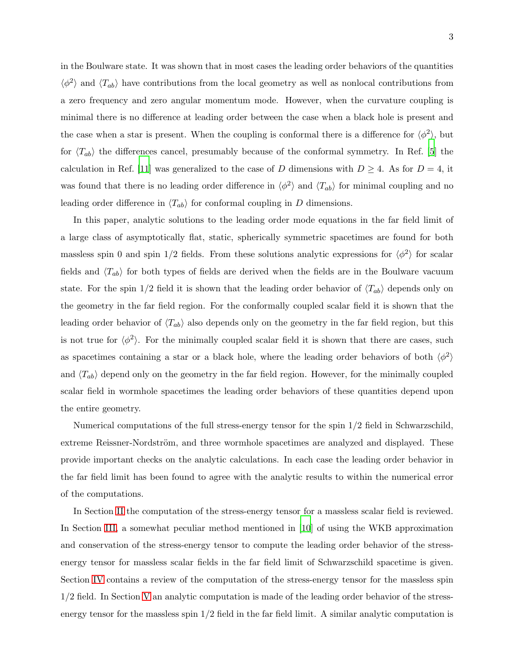in the Boulware state. It was shown that in most cases the leading order behaviors of the quantities  $\langle \phi^2 \rangle$  and  $\langle T_{ab} \rangle$  have contributions from the local geometry as well as nonlocal contributions from a zero frequency and zero angular momentum mode. However, when the curvature coupling is minimal there is no difference at leading order between the case when a black hole is present and the case when a star is present. When the coupling is conformal there is a difference for  $\langle \phi^2 \rangle$ , but for  $\langle T_{ab} \rangle$  the differences cancel, presumably because of the conformal symmetry. In Ref. [\[5\]](#page-42-3) the calculation in Ref. [\[11](#page-42-6)] was generalized to the case of D dimensions with  $D \geq 4$ . As for  $D = 4$ , it was found that there is no leading order difference in  $\langle \phi^2 \rangle$  and  $\langle T_{ab} \rangle$  for minimal coupling and no leading order difference in  $\langle T_{ab} \rangle$  for conformal coupling in D dimensions.

In this paper, analytic solutions to the leading order mode equations in the far field limit of a large class of asymptotically flat, static, spherically symmetric spacetimes are found for both massless spin 0 and spin  $1/2$  fields. From these solutions analytic expressions for  $\langle \phi^2 \rangle$  for scalar fields and  $\langle T_{ab} \rangle$  for both types of fields are derived when the fields are in the Boulware vacuum state. For the spin  $1/2$  field it is shown that the leading order behavior of  $\langle T_{ab} \rangle$  depends only on the geometry in the far field region. For the conformally coupled scalar field it is shown that the leading order behavior of  $\langle T_{ab} \rangle$  also depends only on the geometry in the far field region, but this is not true for  $\langle \phi^2 \rangle$ . For the minimally coupled scalar field it is shown that there are cases, such as spacetimes containing a star or a black hole, where the leading order behaviors of both  $\langle \phi^2 \rangle$ and  $\langle T_{ab} \rangle$  depend only on the geometry in the far field region. However, for the minimally coupled scalar field in wormhole spacetimes the leading order behaviors of these quantities depend upon the entire geometry.

Numerical computations of the full stress-energy tensor for the spin 1/2 field in Schwarzschild, extreme Reissner-Nordström, and three wormhole spacetimes are analyzed and displayed. These provide important checks on the analytic calculations. In each case the leading order behavior in the far field limit has been found to agree with the analytic results to within the numerical error of the computations.

In Section [II](#page-3-0) the computation of the stress-energy tensor for a massless scalar field is reviewed. In Section [III,](#page-5-0) a somewhat peculiar method mentioned in [\[10\]](#page-42-5) of using the WKB approximation and conservation of the stress-energy tensor to compute the leading order behavior of the stressenergy tensor for massless scalar fields in the far field limit of Schwarzschild spacetime is given. Section [IV](#page-7-0) contains a review of the computation of the stress-energy tensor for the massless spin 1/2 field. In Section [V](#page-10-0) an analytic computation is made of the leading order behavior of the stressenergy tensor for the massless spin  $1/2$  field in the far field limit. A similar analytic computation is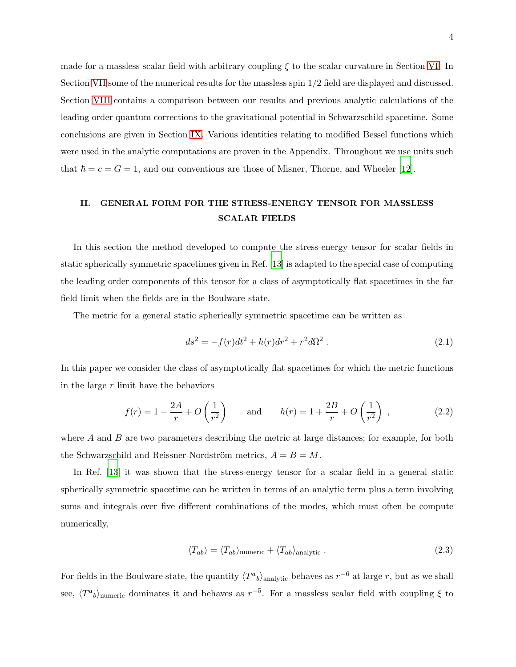made for a massless scalar field with arbitrary coupling  $\xi$  to the scalar curvature in Section [VI.](#page-17-0) In Section [VII](#page-26-0) some of the numerical results for the massless spin 1/2 field are displayed and discussed. Section [VIII](#page-28-0) contains a comparison between our results and previous analytic calculations of the leading order quantum corrections to the gravitational potential in Schwarzschild spacetime. Some conclusions are given in Section [IX.](#page-30-0) Various identities relating to modified Bessel functions which were used in the analytic computations are proven in the Appendix. Throughout we use units such that  $\hbar = c = G = 1$ , and our conventions are those of Misner, Thorne, and Wheeler [\[12](#page-42-8)].

# <span id="page-3-0"></span>II. GENERAL FORM FOR THE STRESS-ENERGY TENSOR FOR MASSLESS SCALAR FIELDS

In this section the method developed to compute the stress-energy tensor for scalar fields in static spherically symmetric spacetimes given in Ref. [\[13](#page-42-9)] is adapted to the special case of computing the leading order components of this tensor for a class of asymptotically flat spacetimes in the far field limit when the fields are in the Boulware state.

The metric for a general static spherically symmetric spacetime can be written as

<span id="page-3-3"></span>
$$
ds^{2} = -f(r)dt^{2} + h(r)dr^{2} + r^{2}d\Omega^{2} . \qquad (2.1)
$$

In this paper we consider the class of asymptotically flat spacetimes for which the metric functions in the large  $r$  limit have the behaviors

<span id="page-3-2"></span>
$$
f(r) = 1 - \frac{2A}{r} + O\left(\frac{1}{r^2}\right)
$$
 and  $h(r) = 1 + \frac{2B}{r} + O\left(\frac{1}{r^2}\right)$ , (2.2)

where  $A$  and  $B$  are two parameters describing the metric at large distances; for example, for both the Schwarzschild and Reissner-Nordström metrics,  $A = B = M$ .

In Ref. [\[13](#page-42-9)] it was shown that the stress-energy tensor for a scalar field in a general static spherically symmetric spacetime can be written in terms of an analytic term plus a term involving sums and integrals over five different combinations of the modes, which must often be compute numerically,

<span id="page-3-1"></span>
$$
\langle T_{ab} \rangle = \langle T_{ab} \rangle_{\text{numeric}} + \langle T_{ab} \rangle_{\text{analytic}}. \tag{2.3}
$$

For fields in the Boulware state, the quantity  $\langle T^a{}_b \rangle$ <sub>analytic</sub> behaves as  $r^{-6}$  at large r, but as we shall see,  $\langle T^a{}_b \rangle$ <sub>numeric</sub> dominates it and behaves as  $r^{-5}$ . For a massless scalar field with coupling  $\xi$  to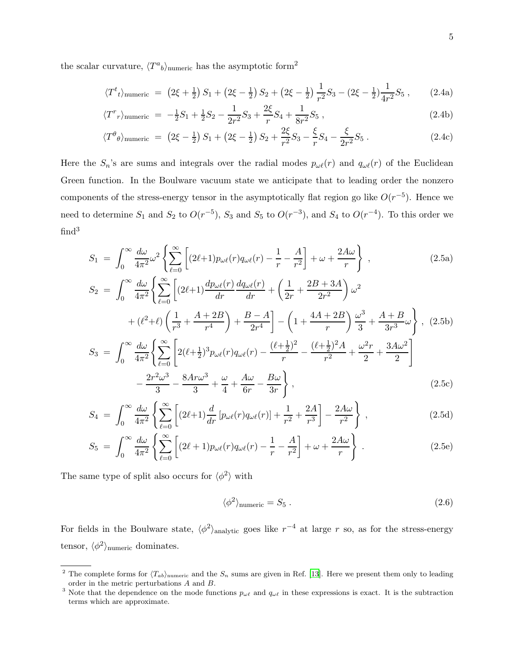the scalar curvature,  $\langle T^a{}_b \rangle$ <sub>numeric</sub> has the asymptotic form<sup>2</sup>

<span id="page-4-1"></span>
$$
\langle T^t{}_t \rangle_{\text{numeric}} = (2\xi + \frac{1}{2}) S_1 + (2\xi - \frac{1}{2}) S_2 + (2\xi - \frac{1}{2}) \frac{1}{r^2} S_3 - (2\xi - \frac{1}{2}) \frac{1}{4r^2} S_5 , \qquad (2.4a)
$$

$$
\langle T^r{}_r \rangle_{\text{numeric}} = -\frac{1}{2}S_1 + \frac{1}{2}S_2 - \frac{1}{2r^2}S_3 + \frac{2\xi}{r}S_4 + \frac{1}{8r^2}S_5 \,, \tag{2.4b}
$$

$$
\langle T^{\theta} \rho \rangle_{\text{numeric}} = (2\xi - \frac{1}{2}) S_1 + (2\xi - \frac{1}{2}) S_2 + \frac{2\xi}{r^2} S_3 - \frac{\xi}{r} S_4 - \frac{\xi}{2r^2} S_5 \,. \tag{2.4c}
$$

Here the  $S_n$ 's are sums and integrals over the radial modes  $p_{\omega\ell}(r)$  and  $q_{\omega\ell}(r)$  of the Euclidean Green function. In the Boulware vacuum state we anticipate that to leading order the nonzero components of the stress-energy tensor in the asymptotically flat region go like  $O(r^{-5})$ . Hence we need to determine  $S_1$  and  $S_2$  to  $O(r^{-5})$ ,  $S_3$  and  $S_5$  to  $O(r^{-3})$ , and  $S_4$  to  $O(r^{-4})$ . To this order we  $find<sup>3</sup>$ 

<span id="page-4-3"></span><span id="page-4-0"></span>
$$
S_1 = \int_0^\infty \frac{d\omega}{4\pi^2} \omega^2 \left\{ \sum_{\ell=0}^\infty \left[ (2\ell+1) p_{\omega\ell}(r) q_{\omega\ell}(r) - \frac{1}{r} - \frac{A}{r^2} \right] + \omega + \frac{2A\omega}{r} \right\} ,\qquad (2.5a)
$$

$$
S_2 = \int_0^\infty \frac{d\omega}{4\pi^2} \Biggl\{ \sum_{\ell=0}^\infty \left[ (2\ell+1) \frac{dp_{\omega\ell}(r)}{dr} \frac{dq_{\omega\ell}(r)}{dr} + \left( \frac{1}{2r} + \frac{2B + 3A}{2r^2} \right) \omega^2 \right. \\ \left. + (\ell^2+\ell) \left( \frac{1}{r^3} + \frac{A+2B}{r^4} \right) + \frac{B-A}{2r^4} \right] - \left( 1 + \frac{4A+2B}{r} \right) \frac{\omega^3}{3} + \frac{A+B}{3r^3} \omega \Biggr\} \,, \tag{2.5b}
$$

$$
S_3 = \int_0^\infty \frac{d\omega}{4\pi^2} \Biggl\{ \sum_{\ell=0}^\infty \left[ 2(\ell+\frac{1}{2})^3 p_{\omega\ell}(r) q_{\omega\ell}(r) - \frac{(\ell+\frac{1}{2})^2}{r} - \frac{(\ell+\frac{1}{2})^2A}{r^2} + \frac{\omega^2r}{2} + \frac{3A\omega^2}{2} \right] - \frac{2r^2\omega^3}{3} - \frac{8Ar\omega^3}{3} + \frac{\omega}{4} + \frac{A\omega}{6r} - \frac{B\omega}{3r} \Biggr\} \,, \tag{2.5c}
$$

$$
S_4 = \int_0^\infty \frac{d\omega}{4\pi^2} \left\{ \sum_{\ell=0}^\infty \left[ (2\ell+1) \frac{d}{dr} \left[ p_{\omega\ell}(r) q_{\omega\ell}(r) \right] + \frac{1}{r^2} + \frac{2A}{r^3} \right] - \frac{2A\omega}{r^2} \right\} ,
$$
 (2.5d)

$$
S_5 = \int_0^\infty \frac{d\omega}{4\pi^2} \left\{ \sum_{\ell=0}^\infty \left[ (2\ell+1) p_{\omega\ell}(r) q_{\omega\ell}(r) - \frac{1}{r} - \frac{A}{r^2} \right] + \omega + \frac{2A\omega}{r} \right\} \ . \tag{2.5e}
$$

The same type of split also occurs for  $\langle \phi^2 \rangle$  with

<span id="page-4-2"></span>
$$
\langle \phi^2 \rangle_{\text{numeric}} = S_5 \,. \tag{2.6}
$$

For fields in the Boulware state,  $\langle \phi^2 \rangle$ <sub>analytic</sub> goes like  $r^{-4}$  at large r so, as for the stress-energy tensor,  $\langle \phi^2 \rangle$ <sub>numeric</sub> dominates.

<sup>&</sup>lt;sup>2</sup> The complete forms for  $\langle T_{ab}\rangle$ <sub>numeric</sub> and the  $S_n$  sums are given in Ref. [\[13](#page-42-9)]. Here we present them only to leading order in the metric perturbations A and B.

<sup>&</sup>lt;sup>3</sup> Note that the dependence on the mode functions  $p_{\omega\ell}$  and  $q_{\omega\ell}$  in these expressions is exact. It is the subtraction terms which are approximate.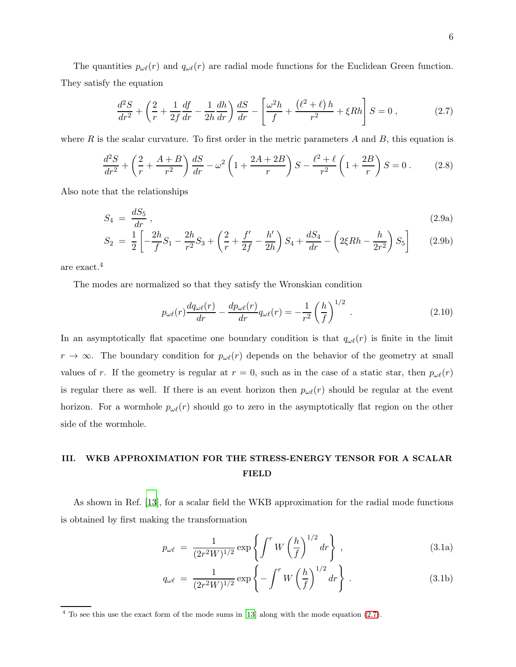The quantities  $p_{\omega\ell}(r)$  and  $q_{\omega\ell}(r)$  are radial mode functions for the Euclidean Green function. They satisfy the equation

<span id="page-5-1"></span>
$$
\frac{d^2S}{dr^2} + \left(\frac{2}{r} + \frac{1}{2f}\frac{df}{dr} - \frac{1}{2h}\frac{dh}{dr}\right)\frac{dS}{dr} - \left[\frac{\omega^2h}{f} + \frac{(\ell^2 + \ell)h}{r^2} + \xi Rh\right]S = 0\,,\tag{2.7}
$$

where R is the scalar curvature. To first order in the metric parameters A and B, this equation is

<span id="page-5-4"></span>
$$
\frac{d^2S}{dr^2} + \left(\frac{2}{r} + \frac{A+B}{r^2}\right)\frac{dS}{dr} - \omega^2 \left(1 + \frac{2A+2B}{r}\right)S - \frac{\ell^2 + \ell}{r^2} \left(1 + \frac{2B}{r}\right)S = 0\,. \tag{2.8}
$$

Also note that the relationships

<span id="page-5-5"></span>
$$
S_4 = \frac{dS_5}{dr},\tag{2.9a}
$$

$$
S_2 = \frac{1}{2} \left[ -\frac{2h}{f} S_1 - \frac{2h}{r^2} S_3 + \left( \frac{2}{r} + \frac{f'}{2f} - \frac{h'}{2h} \right) S_4 + \frac{dS_4}{dr} - \left( 2\xi Rh - \frac{h}{2r^2} \right) S_5 \right]
$$
(2.9b)

are exact.<sup>4</sup>

The modes are normalized so that they satisfy the Wronskian condition

<span id="page-5-2"></span>
$$
p_{\omega\ell}(r)\frac{dq_{\omega\ell}(r)}{dr} - \frac{dp_{\omega\ell}(r)}{dr}q_{\omega\ell}(r) = -\frac{1}{r^2}\left(\frac{h}{f}\right)^{1/2}.
$$
 (2.10)

In an asymptotically flat spacetime one boundary condition is that  $q_{\omega\ell}(r)$  is finite in the limit  $r \to \infty$ . The boundary condition for  $p_{\omega\ell}(r)$  depends on the behavior of the geometry at small values of r. If the geometry is regular at  $r = 0$ , such as in the case of a static star, then  $p_{\omega\ell}(r)$ is regular there as well. If there is an event horizon then  $p_{\omega\ell}(r)$  should be regular at the event horizon. For a wormhole  $p_{\omega\ell}(r)$  should go to zero in the asymptotically flat region on the other side of the wormhole.

### <span id="page-5-0"></span>III. WKB APPROXIMATION FOR THE STRESS-ENERGY TENSOR FOR A SCALAR FIELD

As shown in Ref. [\[13\]](#page-42-9), for a scalar field the WKB approximation for the radial mode functions is obtained by first making the transformation

<span id="page-5-3"></span>
$$
p_{\omega\ell} = \frac{1}{(2r^2W)^{1/2}} \exp\left\{ \int^r W \left(\frac{h}{f}\right)^{1/2} dr \right\},
$$
\n(3.1a)

$$
q_{\omega\ell} = \frac{1}{(2r^2W)^{1/2}} \exp\left\{-\int^r W\left(\frac{h}{f}\right)^{1/2} dr\right\}.
$$
 (3.1b)

<sup>4</sup> To see this use the exact form of the mode sums in [\[13](#page-42-9)] along with the mode equation [\(2.7\)](#page-5-1).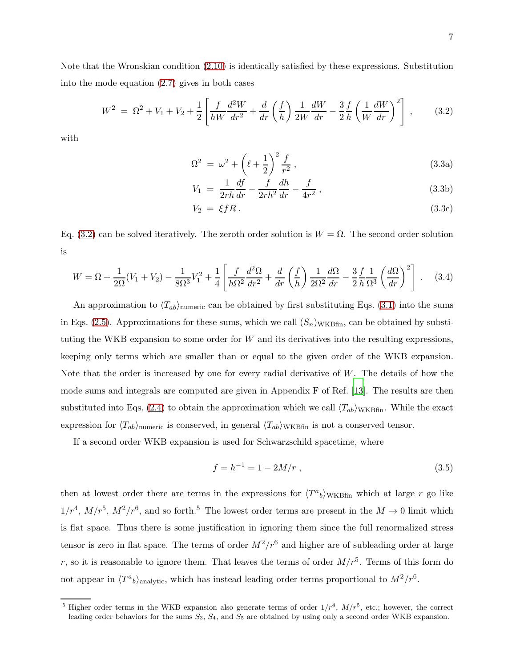<span id="page-6-0"></span>
$$
W^{2} = \Omega^{2} + V_{1} + V_{2} + \frac{1}{2} \left[ \frac{f}{hW} \frac{d^{2}W}{dr^{2}} + \frac{d}{dr} \left( \frac{f}{h} \right) \frac{1}{2W} \frac{dW}{dr} - \frac{3}{2} \frac{f}{h} \left( \frac{1}{W} \frac{dW}{dr} \right)^{2} \right],
$$
 (3.2)

with

into the mode equation [\(2.7\)](#page-5-1) gives in both cases

$$
\Omega^2 = \omega^2 + \left(\ell + \frac{1}{2}\right)^2 \frac{f}{r^2},
$$
\n(3.3a)

$$
V_1 = \frac{1}{2rh} \frac{df}{dr} - \frac{f}{2rh^2} \frac{dh}{dr} - \frac{f}{4r^2} , \qquad (3.3b)
$$

$$
V_2 = \xi f R. \tag{3.3c}
$$

Eq. [\(3.2\)](#page-6-0) can be solved iteratively. The zeroth order solution is  $W = \Omega$ . The second order solution is

$$
W = \Omega + \frac{1}{2\Omega}(V_1 + V_2) - \frac{1}{8\Omega^3}V_1^2 + \frac{1}{4}\left[\frac{f}{h\Omega^2}\frac{d^2\Omega}{dr^2} + \frac{d}{dr}\left(\frac{f}{h}\right)\frac{1}{2\Omega^2}\frac{d\Omega}{dr} - \frac{3}{2}\frac{f}{h}\frac{1}{\Omega^3}\left(\frac{d\Omega}{dr}\right)^2\right].
$$
 (3.4)

An approximation to  $\langle T_{ab}\rangle_{\text{numeric}}$  can be obtained by first substituting Eqs. [\(3.1\)](#page-5-3) into the sums in Eqs. [\(2.5\)](#page-4-0). Approximations for these sums, which we call  $(S_n)_{WKBfin}$ , can be obtained by substituting the WKB expansion to some order for W and its derivatives into the resulting expressions, keeping only terms which are smaller than or equal to the given order of the WKB expansion. Note that the order is increased by one for every radial derivative of W. The details of how the mode sums and integrals are computed are given in Appendix F of Ref. [\[13](#page-42-9)]. The results are then substituted into Eqs. [\(2.4\)](#page-4-1) to obtain the approximation which we call  $\langle T_{ab}\rangle_{\rm WKBfin}$ . While the exact expression for  $\langle T_{ab}\rangle_{\text{numeric}}$  is conserved, in general  $\langle T_{ab}\rangle_{\text{WKBfin}}$  is not a conserved tensor.

If a second order WKB expansion is used for Schwarzschild spacetime, where

<span id="page-6-1"></span>
$$
f = h^{-1} = 1 - 2M/r , \t\t(3.5)
$$

then at lowest order there are terms in the expressions for  $\langle T^a{}_b \rangle_{\text{WKBfin}}$  which at large r go like  $1/r^4$ ,  $M/r^5$ ,  $M^2/r^6$ , and so forth.<sup>5</sup> The lowest order terms are present in the  $M \to 0$  limit which is flat space. Thus there is some justification in ignoring them since the full renormalized stress tensor is zero in flat space. The terms of order  $M^2/r^6$  and higher are of subleading order at large r, so it is reasonable to ignore them. That leaves the terms of order  $M/r^5$ . Terms of this form do not appear in  $\langle T^a{}_b \rangle$ <sub>analytic</sub>, which has instead leading order terms proportional to  $M^2/r^6$ .

<sup>&</sup>lt;sup>5</sup> Higher order terms in the WKB expansion also generate terms of order  $1/r^4$ ,  $M/r^5$ , etc.; however, the correct leading order behaviors for the sums  $S_3$ ,  $S_4$ , and  $S_5$  are obtained by using only a second order WKB expansion.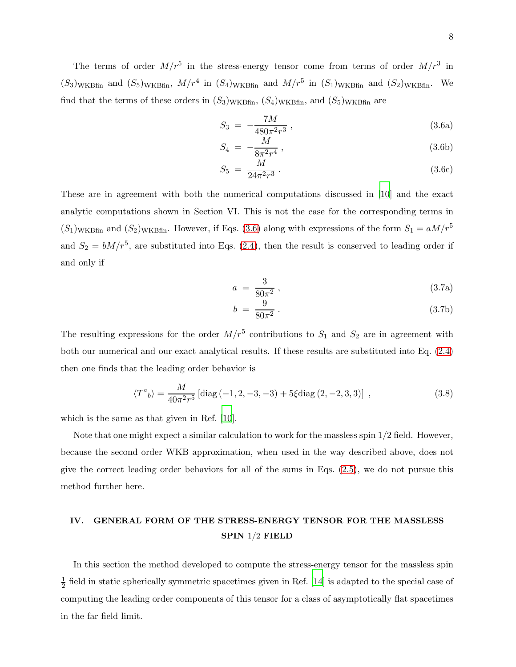The terms of order  $M/r^5$  in the stress-energy tensor come from terms of order  $M/r^3$  in  $(S_3)$ <sub>WKBfin</sub> and  $(S_5)$ <sub>WKBfin</sub>,  $M/r^4$  in  $(S_4)$ <sub>WKBfin</sub> and  $M/r^5$  in  $(S_1)$ <sub>WKBfin</sub> and  $(S_2)$ <sub>WKBfin</sub>. We find that the terms of these orders in  $(S_3)_{WKBfin}$ ,  $(S_4)_{WKBfin}$ , and  $(S_5)_{WKBfin}$  are

<span id="page-7-1"></span>
$$
S_3 = -\frac{7M}{480\pi^2 r^3} \,, \tag{3.6a}
$$

$$
S_4 = -\frac{M}{8\pi^2 r^4} \,, \tag{3.6b}
$$

$$
S_5 = \frac{M}{24\pi^2 r^3} \,. \tag{3.6c}
$$

These are in agreement with both the numerical computations discussed in [\[10](#page-42-5)] and the exact analytic computations shown in Section VI. This is not the case for the corresponding terms in  $(S_1)_{WKBfin}$  and  $(S_2)_{WKBfin}$ . However, if Eqs. [\(3.6\)](#page-7-1) along with expressions of the form  $S_1 = aM/r^5$ and  $S_2 = bM/r^5$ , are substituted into Eqs. [\(2.4\)](#page-4-1), then the result is conserved to leading order if and only if

$$
a = \frac{3}{80\pi^2} \,, \tag{3.7a}
$$

$$
b = \frac{9}{80\pi^2} \,. \tag{3.7b}
$$

The resulting expressions for the order  $M/r^5$  contributions to  $S_1$  and  $S_2$  are in agreement with both our numerical and our exact analytical results. If these results are substituted into Eq. [\(2.4\)](#page-4-1) then one finds that the leading order behavior is

<span id="page-7-2"></span>
$$
\langle T^{a}{}_{b}\rangle = \frac{M}{40\pi^{2}r^{5}}\left[\text{diag}\left(-1,2,-3,-3\right)+5\xi\text{diag}\left(2,-2,3,3\right)\right] \,,\tag{3.8}
$$

which is the same as that given in Ref. [\[10](#page-42-5)].

Note that one might expect a similar calculation to work for the massless spin 1/2 field. However, because the second order WKB approximation, when used in the way described above, does not give the correct leading order behaviors for all of the sums in Eqs. [\(2.5\)](#page-4-0), we do not pursue this method further here.

## <span id="page-7-0"></span>IV. GENERAL FORM OF THE STRESS-ENERGY TENSOR FOR THE MASSLESS SPIN 1/2 FIELD

In this section the method developed to compute the stress-energy tensor for the massless spin 1  $\frac{1}{2}$  field in static spherically symmetric spacetimes given in Ref. [\[14](#page-42-10)] is adapted to the special case of computing the leading order components of this tensor for a class of asymptotically flat spacetimes in the far field limit.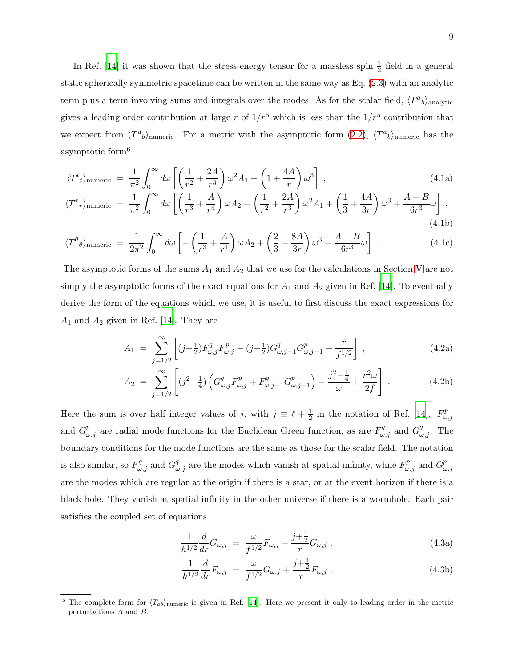In Ref. [\[14](#page-42-10)] it was shown that the stress-energy tensor for a massless spin  $\frac{1}{2}$  field in a general static spherically symmetric spacetime can be written in the same way as Eq. [\(2.3\)](#page-3-1) with an analytic term plus a term involving sums and integrals over the modes. As for the scalar field,  $\langle T^a{}_b \rangle$ <sub>analytic</sub> gives a leading order contribution at large r of  $1/r^6$  which is less than the  $1/r^5$  contribution that we expect from  $\langle T^a{}_b \rangle$ <sub>numeric</sub>. For a metric with the asymptotic form [\(2.2\)](#page-3-2),  $\langle T^a{}_b \rangle$ <sub>numeric</sub> has the asymptotic form<sup>6</sup>

<span id="page-8-3"></span>
$$
\langle T^{t}{}_{t}\rangle_{\text{numeric}} = \frac{1}{\pi^{2}} \int_{0}^{\infty} d\omega \left[ \left( \frac{1}{r^{2}} + \frac{2A}{r^{3}} \right) \omega^{2} A_{1} - \left( 1 + \frac{4A}{r} \right) \omega^{3} \right],
$$
\n
$$
\langle T^{r} \rangle = \frac{1}{\pi} \int_{0}^{\infty} d\omega \left[ \left( 1 + \frac{A}{r} \right) \omega^{4} A_{1} - \left( 1 + \frac{4A}{r} \right) \omega^{3} \right],
$$
\n
$$
\langle T^{r} \rangle = \frac{1}{\pi} \int_{0}^{\infty} d\omega \left[ \left( 1 + \frac{A}{r} \right) \omega^{4} A_{1} - \left( 1 + \frac{4A}{r} \right) \omega^{3} \right],
$$
\n
$$
\langle T^{r} \rangle = \frac{1}{\pi} \int_{0}^{\infty} d\omega \left[ \left( 1 + \frac{A}{r} \right) \omega^{2} A_{1} - \left( 1 + \frac{4A}{r} \right) \omega^{3} \right],
$$
\n
$$
\langle T^{r} \rangle = \frac{1}{\pi} \int_{0}^{\infty} d\omega \left[ \left( 1 + \frac{A}{r} \right) \omega^{2} A_{1} - \left( 1 + \frac{4A}{r} \right) \omega^{3} \right],
$$
\n
$$
\langle T^{r} \rangle = \frac{1}{\pi} \int_{0}^{\infty} d\omega \left[ \left( 1 + \frac{A}{r} \right) \omega^{2} A_{1} - \left( 1 + \frac{4A}{r} \right) \omega^{3} \right],
$$
\n
$$
\langle T^{r} \rangle = \frac{1}{\pi} \int_{0}^{\infty} d\omega \left[ \left( 1 + \frac{A}{r} \right) \omega^{2} A_{1} - \left( 1 + \frac{4A}{r} \right) \omega^{3} \right],
$$
\n
$$
\langle T^{r} \rangle = \frac{1}{\pi} \int_{0}^{\infty} d\omega \left[ \left( 1 + \frac{A}{r} \right) \omega^{2} A_{1} - \left( 1 + \frac{4A}{r} \right) \omega^{2} A_{1} - \left
$$

$$
\langle T^r r \rangle_{\text{numeric}} = \frac{1}{\pi^2} \int_0^\infty d\omega \left[ \left( \frac{1}{r^3} + \frac{A}{r^4} \right) \omega A_2 - \left( \frac{1}{r^2} + \frac{2A}{r^3} \right) \omega^2 A_1 + \left( \frac{1}{3} + \frac{4A}{3r} \right) \omega^3 + \frac{A+B}{6r^3} \omega \right],\tag{4.1b}
$$

$$
\langle T^{\theta} \rho \rangle_{\text{numeric}} = \frac{1}{2\pi^2} \int_0^{\infty} d\omega \left[ -\left(\frac{1}{r^3} + \frac{A}{r^4}\right) \omega A_2 + \left(\frac{2}{3} + \frac{8A}{3r}\right) \omega^3 - \frac{A+B}{6r^3} \omega \right] \,. \tag{4.1c}
$$

The asymptotic forms of the sums  $A_1$  and  $A_2$  that we use for the calculations in Section [V](#page-10-0) are not simply the asymptotic forms of the exact equations for  $A_1$  and  $A_2$  given in Ref. [\[14](#page-42-10)]. To eventually derive the form of the equations which we use, it is useful to first discuss the exact expressions for  $A_1$  and  $A_2$  given in Ref. [\[14](#page-42-10)]. They are

<span id="page-8-0"></span>
$$
A_1 = \sum_{j=1/2}^{\infty} \left[ (j + \frac{1}{2}) F_{\omega,j}^q F_{\omega,j}^p - (j - \frac{1}{2}) G_{\omega,j-1}^q G_{\omega,j-1}^p + \frac{r}{f^{1/2}} \right],
$$
\n(4.2a)

$$
A_2 = \sum_{j=1/2}^{\infty} \left[ (j^2 - \frac{1}{4}) \left( G^q_{\omega,j} F^p_{\omega,j} + F^q_{\omega,j-1} G^p_{\omega,j-1} \right) - \frac{j^2 - \frac{1}{4}}{\omega} + \frac{r^2 \omega}{2f} \right] \,. \tag{4.2b}
$$

Here the sum is over half integer values of j, with  $j \equiv \ell + \frac{1}{2}$  $\frac{1}{2}$  in the notation of Ref. [\[14](#page-42-10)].  $F_{\omega}^{p}$  $\omega,j$ and  $G_{\omega,j}^p$  are radial mode functions for the Euclidean Green function, as are  $F_{\omega,j}^q$  and  $G_{\omega,j}^q$ . The boundary conditions for the mode functions are the same as those for the scalar field. The notation is also similar, so  $F_{\omega,j}^q$  and  $G_{\omega,j}^q$  are the modes which vanish at spatial infinity, while  $F_{\omega,j}^p$  and  $G_{\omega,j}^p$  $\omega,j$ are the modes which are regular at the origin if there is a star, or at the event horizon if there is a black hole. They vanish at spatial infinity in the other universe if there is a wormhole. Each pair satisfies the coupled set of equations

<span id="page-8-2"></span><span id="page-8-1"></span>
$$
\frac{1}{h^{1/2}} \frac{d}{dr} G_{\omega,j} = \frac{\omega}{f^{1/2}} F_{\omega,j} - \frac{j + \frac{1}{2}}{r} G_{\omega,j} , \qquad (4.3a)
$$

$$
\frac{1}{h^{1/2}}\frac{d}{dr}F_{\omega,j} = \frac{\omega}{f^{1/2}}G_{\omega,j} + \frac{j+\frac{1}{2}}{r}F_{\omega,j} \tag{4.3b}
$$

<sup>&</sup>lt;sup>6</sup> The complete form for  $\langle T_{ab}\rangle_{\text{numeric}}$  is given in Ref. [\[14\]](#page-42-10). Here we present it only to leading order in the metric perturbations A and B.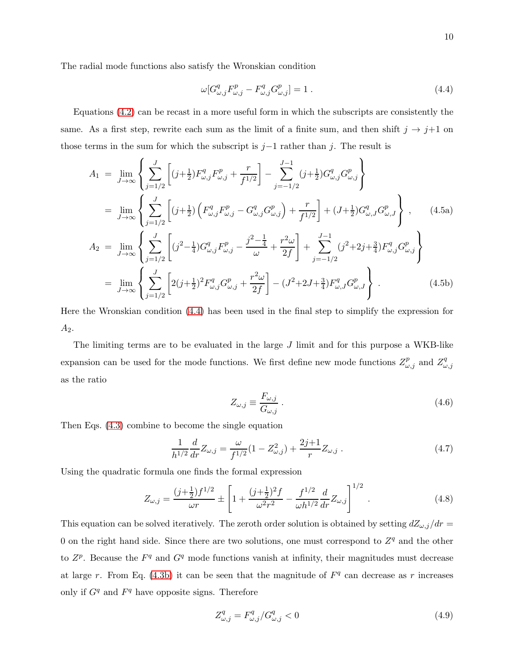<span id="page-9-1"></span><span id="page-9-0"></span>
$$
\omega[G^{q}_{\omega,j}F^{p}_{\omega,j} - F^{q}_{\omega,j}G^{p}_{\omega,j}] = 1.
$$
\n(4.4)

Equations [\(4.2\)](#page-8-0) can be recast in a more useful form in which the subscripts are consistently the same. As a first step, rewrite each sum as the limit of a finite sum, and then shift  $j \rightarrow j+1$  on those terms in the sum for which the subscript is  $j-1$  rather than j. The result is

$$
A_{1} = \lim_{J \to \infty} \left\{ \sum_{j=1/2}^{J} \left[ (j + \frac{1}{2}) F_{\omega,j}^{q} F_{\omega,j}^{p} + \frac{r}{f^{1/2}} \right] - \sum_{j=-1/2}^{J-1} (j + \frac{1}{2}) G_{\omega,j}^{q} G_{\omega,j}^{p} \right\}
$$
  
\n
$$
= \lim_{J \to \infty} \left\{ \sum_{j=1/2}^{J} \left[ (j + \frac{1}{2}) \left( F_{\omega,j}^{q} F_{\omega,j}^{p} - G_{\omega,j}^{q} G_{\omega,j}^{p} \right) + \frac{r}{f^{1/2}} \right] + (J + \frac{1}{2}) G_{\omega,J}^{q} G_{\omega,J}^{p} \right\}, \qquad (4.5a)
$$
  
\n
$$
A_{2} = \lim_{J \to \infty} \left\{ \sum_{j=1/2}^{J} \left[ (j^{2} - \frac{1}{4}) G_{\omega,j}^{q} F_{\omega,j}^{p} - \frac{j^{2} - \frac{1}{4}}{\omega} + \frac{r^{2} \omega}{2f} \right] + \sum_{j=-1/2}^{J-1} (j^{2} + 2j + \frac{3}{4}) F_{\omega,j}^{q} G_{\omega,j}^{p} \right\}
$$
  
\n
$$
= \lim_{J \to \infty} \left\{ \sum_{j=1/2}^{J} \left[ 2(j + \frac{1}{2})^{2} F_{\omega,j}^{q} G_{\omega,j}^{p} + \frac{r^{2} \omega}{2f} \right] - (J^{2} + 2J + \frac{3}{4}) F_{\omega,J}^{q} G_{\omega,J}^{p} \right\} . \qquad (4.5b)
$$

Here the Wronskian condition [\(4.4\)](#page-9-0) has been used in the final step to simplify the expression for  $A_2.$ 

The limiting terms are to be evaluated in the large  $J$  limit and for this purpose a WKB-like expansion can be used for the mode functions. We first define new mode functions  $Z_{\omega,j}^p$  and  $Z_{\omega}^q$  $\omega,j$ as the ratio

$$
Z_{\omega,j} \equiv \frac{F_{\omega,j}}{G_{\omega,j}}\,. \tag{4.6}
$$

Then Eqs. [\(4.3\)](#page-8-1) combine to become the single equation

$$
\frac{1}{h^{1/2}}\frac{d}{dr}Z_{\omega,j} = \frac{\omega}{f^{1/2}}(1 - Z_{\omega,j}^2) + \frac{2j+1}{r}Z_{\omega,j}.
$$
\n(4.7)

Using the quadratic formula one finds the formal expression

$$
Z_{\omega,j} = \frac{(j+\frac{1}{2})f^{1/2}}{\omega r} \pm \left[1 + \frac{(j+\frac{1}{2})^2 f}{\omega^2 r^2} - \frac{f^{1/2}}{\omega h^{1/2}} \frac{d}{dr} Z_{\omega,j}\right]^{1/2}.
$$
 (4.8)

This equation can be solved iteratively. The zeroth order solution is obtained by setting  $dZ_{\omega,j}/dr =$ 0 on the right hand side. Since there are two solutions, one must correspond to  $Z<sup>q</sup>$  and the other to  $Z^p$ . Because the  $F^q$  and  $G^q$  mode functions vanish at infinity, their magnitudes must decrease at large r. From Eq. [\(4.3b\)](#page-8-2) it can be seen that the magnitude of  $F<sup>q</sup>$  can decrease as r increases only if  $G<sup>q</sup>$  and  $F<sup>q</sup>$  have opposite signs. Therefore

$$
Z_{\omega,j}^q = F_{\omega,j}^q / G_{\omega,j}^q < 0 \tag{4.9}
$$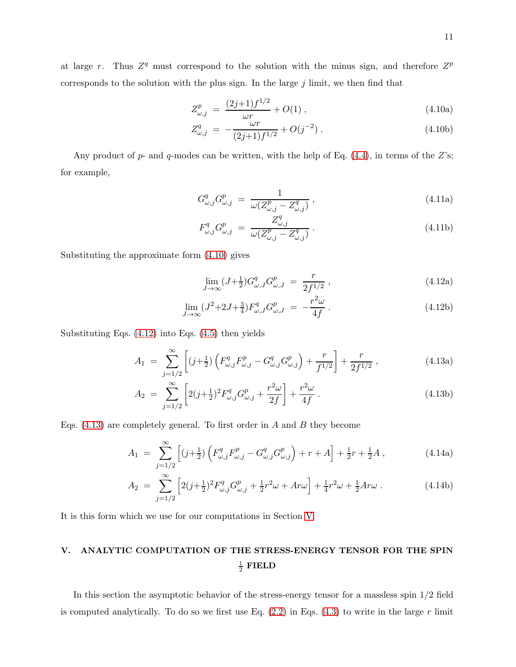at large r. Thus  $Z^q$  must correspond to the solution with the minus sign, and therefore  $Z^p$ corresponds to the solution with the plus sign. In the large  $j$  limit, we then find that

<span id="page-10-1"></span>
$$
Z_{\omega,j}^p = \frac{(2j+1)f^{1/2}}{\omega r} + O(1) , \qquad (4.10a)
$$

$$
Z_{\omega,j}^q = -\frac{\omega r}{(2j+1)f^{1/2}} + O(j^{-2}). \qquad (4.10b)
$$

Any product of  $p$ - and  $q$ -modes can be written, with the help of Eq. [\(4.4\)](#page-9-0), in terms of the  $Z$ 's; for example,

$$
G_{\omega,j}^q G_{\omega,j}^p = \frac{1}{\omega(Z_{\omega,j}^p - Z_{\omega,j}^q)},\tag{4.11a}
$$

$$
F_{\omega,j}^q G_{\omega,j}^p = \frac{Z_{\omega,j}^q}{\omega (Z_{\omega,j}^p - Z_{\omega,j}^q)}.
$$
\n(4.11b)

Substituting the approximate form [\(4.10\)](#page-10-1) gives

<span id="page-10-4"></span><span id="page-10-3"></span><span id="page-10-2"></span>
$$
\lim_{J \to \infty} (J + \frac{1}{2}) G^{q}_{\omega, J} G^{p}_{\omega, J} = \frac{r}{2f^{1/2}}, \qquad (4.12a)
$$

$$
\lim_{J \to \infty} (J^2 + 2J + \frac{3}{4}) F^q_{\omega, J} G^p_{\omega, J} = -\frac{r^2 \omega}{4f} \,. \tag{4.12b}
$$

Substituting Eqs. [\(4.12\)](#page-10-2) into Eqs. [\(4.5\)](#page-9-1) then yields

$$
A_1 = \sum_{j=1/2}^{\infty} \left[ (j + \frac{1}{2}) \left( F_{\omega,j}^q F_{\omega,j}^p - G_{\omega,j}^q G_{\omega,j}^p \right) + \frac{r}{f^{1/2}} \right] + \frac{r}{2f^{1/2}}, \qquad (4.13a)
$$

$$
A_2 = \sum_{j=1/2}^{\infty} \left[ 2(j+\frac{1}{2})^2 F_{\omega,j}^q G_{\omega,j}^p + \frac{r^2 \omega}{2f} \right] + \frac{r^2 \omega}{4f}.
$$
 (4.13b)

Eqs.  $(4.13)$  are completely general. To first order in A and B they become

$$
A_1 = \sum_{j=1/2}^{\infty} \left[ (j + \frac{1}{2}) \left( F_{\omega,j}^q F_{\omega,j}^p - G_{\omega,j}^q G_{\omega,j}^p \right) + r + A \right] + \frac{1}{2}r + \frac{1}{2}A , \qquad (4.14a)
$$

$$
A_2 = \sum_{j=1/2}^{\infty} \left[ 2(j+\frac{1}{2})^2 F_{\omega,j}^q G_{\omega,j}^p + \frac{1}{2} r^2 \omega + Ar\omega \right] + \frac{1}{4} r^2 \omega + \frac{1}{2} Ar\omega \,. \tag{4.14b}
$$

It is this form which we use for our computations in Section [V.](#page-10-0)

# <span id="page-10-0"></span>V. ANALYTIC COMPUTATION OF THE STRESS-ENERGY TENSOR FOR THE SPIN  $\frac{1}{2}$  FIELD

In this section the asymptotic behavior of the stress-energy tensor for a massless spin 1/2 field is computed analytically. To do so we first use Eq.  $(2.2)$  in Eqs.  $(4.3)$  to write in the large r limit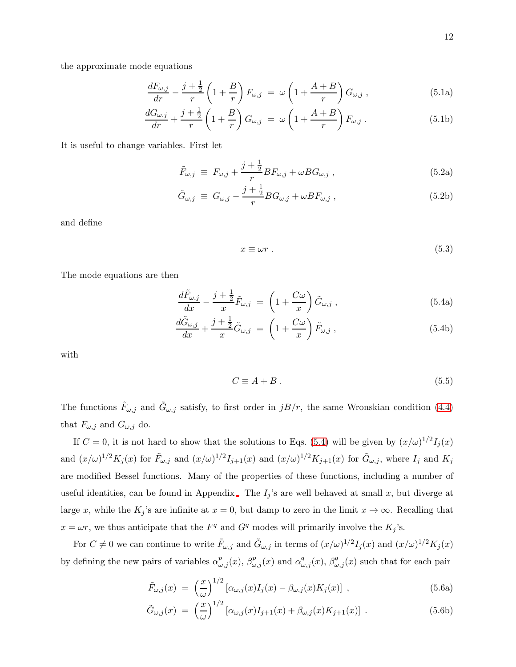the approximate mode equations

$$
\frac{dF_{\omega,j}}{dr} - \frac{j+\frac{1}{2}}{r} \left(1 + \frac{B}{r}\right) F_{\omega,j} = \omega \left(1 + \frac{A+B}{r}\right) G_{\omega,j}, \qquad (5.1a)
$$

$$
\frac{dG_{\omega,j}}{dr} + \frac{j+\frac{1}{2}}{r} \left(1 + \frac{B}{r}\right) G_{\omega,j} = \omega \left(1 + \frac{A+B}{r}\right) F_{\omega,j} . \tag{5.1b}
$$

It is useful to change variables. First let

<span id="page-11-3"></span>
$$
\tilde{F}_{\omega,j} \equiv F_{\omega,j} + \frac{j+\frac{1}{2}}{r}BF_{\omega,j} + \omega BG_{\omega,j} , \qquad (5.2a)
$$

$$
\tilde{G}_{\omega,j} \equiv G_{\omega,j} - \frac{j+\frac{1}{2}}{r} B G_{\omega,j} + \omega B F_{\omega,j} \,, \tag{5.2b}
$$

and define

$$
x \equiv \omega r \tag{5.3}
$$

The mode equations are then

<span id="page-11-0"></span>
$$
\frac{d\tilde{F}_{\omega,j}}{dx} - \frac{j+\frac{1}{2}}{x}\tilde{F}_{\omega,j} = \left(1 + \frac{C\omega}{x}\right)\tilde{G}_{\omega,j},\qquad(5.4a)
$$

$$
\frac{d\tilde{G}_{\omega,j}}{dx} + \frac{j+\frac{1}{2}}{x}\tilde{G}_{\omega,j} = \left(1 + \frac{C\omega}{x}\right)\tilde{F}_{\omega,j},\tag{5.4b}
$$

with

<span id="page-11-1"></span>
$$
C \equiv A + B \tag{5.5}
$$

The functions  $\tilde{F}_{\omega,j}$  and  $\tilde{G}_{\omega,j}$  satisfy, to first order in  $jB/r$ , the same Wronskian condition [\(4.4\)](#page-9-0) that  $F_{\omega,j}$  and  $G_{\omega,j}$  do.

If  $C = 0$ , it is not hard to show that the solutions to Eqs. [\(5.4\)](#page-11-0) will be given by  $(x/\omega)^{1/2}I_j(x)$ and  $(x/\omega)^{1/2}K_j(x)$  for  $\tilde{F}_{\omega,j}$  and  $(x/\omega)^{1/2}I_{j+1}(x)$  and  $(x/\omega)^{1/2}K_{j+1}(x)$  for  $\tilde{G}_{\omega,j}$ , where  $I_j$  and  $K_j$ are modified Bessel functions. Many of the properties of these functions, including a number of useful identities, can be found in Appendix [.](#page-32-0) The  $I_j$ 's are well behaved at small x, but diverge at large x, while the  $K_j$ 's are infinite at  $x = 0$ , but damp to zero in the limit  $x \to \infty$ . Recalling that  $x = \omega r$ , we thus anticipate that the  $F<sup>q</sup>$  and  $G<sup>q</sup>$  modes will primarily involve the  $K_j$ 's.

For  $C \neq 0$  we can continue to write  $\tilde{F}_{\omega,j}$  and  $\tilde{G}_{\omega,j}$  in terms of  $(x/\omega)^{1/2}I_j(x)$  and  $(x/\omega)^{1/2}K_j(x)$ by defining the new pairs of variables  $\alpha_{\omega,j}^p(x)$ ,  $\beta_{\omega,j}^p(x)$  and  $\alpha_{\omega,j}^q(x)$ ,  $\beta_{\omega,j}^q(x)$  such that for each pair

<span id="page-11-2"></span>
$$
\tilde{F}_{\omega,j}(x) = \left(\frac{x}{\omega}\right)^{1/2} \left[\alpha_{\omega,j}(x)I_j(x) - \beta_{\omega,j}(x)K_j(x)\right],\tag{5.6a}
$$

$$
\tilde{G}_{\omega,j}(x) = \left(\frac{x}{\omega}\right)^{1/2} \left[\alpha_{\omega,j}(x)I_{j+1}(x) + \beta_{\omega,j}(x)K_{j+1}(x)\right]. \tag{5.6b}
$$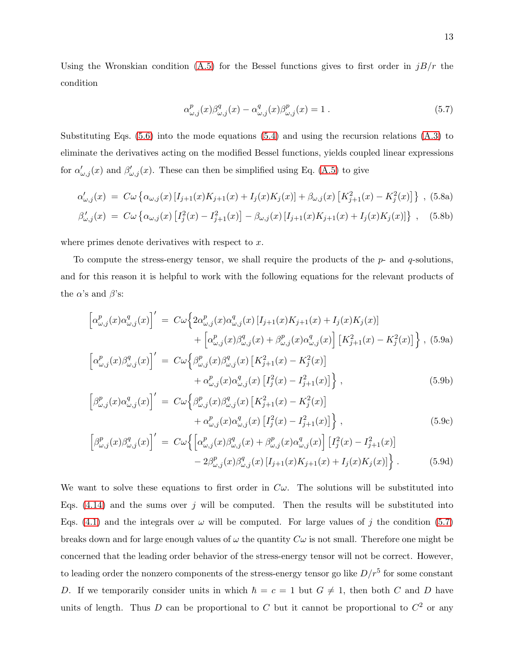Using the Wronskian condition [\(A.5\)](#page-33-0) for the Bessel functions gives to first order in  $jB/r$  the condition

<span id="page-12-2"></span><span id="page-12-0"></span>
$$
\alpha_{\omega,j}^p(x)\beta_{\omega,j}^q(x) - \alpha_{\omega,j}^q(x)\beta_{\omega,j}^p(x) = 1.
$$
\n(5.7)

Substituting Eqs. [\(5.6\)](#page-11-1) into the mode equations [\(5.4\)](#page-11-0) and using the recursion relations [\(A.3\)](#page-32-1) to eliminate the derivatives acting on the modified Bessel functions, yields coupled linear expressions for  $\alpha'_{\omega,j}(x)$  and  $\beta'_{\omega,j}(x)$ . These can then be simplified using Eq. [\(A.5\)](#page-33-0) to give

$$
\alpha'_{\omega,j}(x) = C\omega \left\{ \alpha_{\omega,j}(x) \left[ I_{j+1}(x)K_{j+1}(x) + I_j(x)K_j(x) \right] + \beta_{\omega,j}(x) \left[ K_{j+1}^2(x) - K_j^2(x) \right] \right\}, (5.8a)
$$
  

$$
\beta'_{\omega,j}(x) = C\omega \left\{ \alpha_{\omega,j}(x) \left[ I_j^2(x) - I_{j+1}^2(x) \right] - \beta_{\omega,j}(x) \left[ I_{j+1}(x)K_{j+1}(x) + I_j(x)K_j(x) \right] \right\}, (5.8b)
$$

where primes denote derivatives with respect to  $x$ .

To compute the stress-energy tensor, we shall require the products of the  $p$ - and  $q$ -solutions, and for this reason it is helpful to work with the following equations for the relevant products of the  $\alpha$ 's and  $\beta$ 's:

<span id="page-12-1"></span>
$$
\begin{split}\n\left[\alpha_{\omega,j}^p(x)\alpha_{\omega,j}^q(x)\right]' &= C\omega \Big\{2\alpha_{\omega,j}^p(x)\alpha_{\omega,j}^q(x)\left[I_{j+1}(x)K_{j+1}(x)+I_j(x)K_j(x)\right] \\
&\quad + \left[\alpha_{\omega,j}^p(x)\beta_{\omega,j}^q(x)+\beta_{\omega,j}^p(x)\alpha_{\omega,j}^q(x)\right]\left[K_{j+1}^2(x)-K_j^2(x)\right]\Big\}\,,\tag{5.9a} \\
\left[\alpha_{\omega,j}^p(x)\beta_{\omega,j}^q(x)\right]' &= C\omega \Big\{\beta_{\omega,j}^p(x)\beta_{\omega,j}^q(x)\left[K_{j+1}^2(x)-K_j^2(x)\right]\n\end{split}
$$

$$
\left[\alpha_{\omega,j}(x)\rho_{\omega,j}(x)\right] = C\omega\left\{\rho_{\omega,j}(x)\rho_{\omega,j}(x)\left[\mathbf{A}_{j+1}(x) - \mathbf{A}_{j}(x)\right] + \alpha_{\omega,j}^{p}(x)\alpha_{\omega,j}^{q}(x)\left[I_{j}^{2}(x) - I_{j+1}^{2}(x)\right]\right\},\tag{5.9b}
$$

$$
\left[\beta_{\omega,j}^p(x)\alpha_{\omega,j}^q(x)\right]' = C\omega \left\{\beta_{\omega,j}^p(x)\beta_{\omega,j}^q(x) \left[K_{j+1}^2(x) - K_j^2(x)\right] \right. \\ \left. + \alpha_{\omega,j}^p(x)\alpha_{\omega,j}^q(x) \left[I_j^2(x) - I_{j+1}^2(x)\right]\right\},\tag{5.9c}
$$

$$
\left[\beta_{\omega,j}^p(x)\beta_{\omega,j}^q(x)\right]' = C\omega\left\{\left[\alpha_{\omega,j}^p(x)\beta_{\omega,j}^q(x) + \beta_{\omega,j}^p(x)\alpha_{\omega,j}^q(x)\right]\left[I_j^2(x) - I_{j+1}^2(x)\right] - 2\beta_{\omega,j}^p(x)\beta_{\omega,j}^q(x)\left[I_{j+1}(x)K_{j+1}(x) + I_j(x)K_j(x)\right]\right\}.
$$
\n(5.9d)

We want to solve these equations to first order in  $C\omega$ . The solutions will be substituted into Eqs.  $(4.14)$  and the sums over j will be computed. Then the results will be substituted into Eqs. [\(4.1\)](#page-8-3) and the integrals over  $\omega$  will be computed. For large values of j the condition [\(5.7\)](#page-12-0) breaks down and for large enough values of  $\omega$  the quantity  $C\omega$  is not small. Therefore one might be concerned that the leading order behavior of the stress-energy tensor will not be correct. However, to leading order the nonzero components of the stress-energy tensor go like  $D/r^5$  for some constant D. If we temporarily consider units in which  $h = c = 1$  but  $G \neq 1$ , then both C and D have units of length. Thus D can be proportional to C but it cannot be proportional to  $C<sup>2</sup>$  or any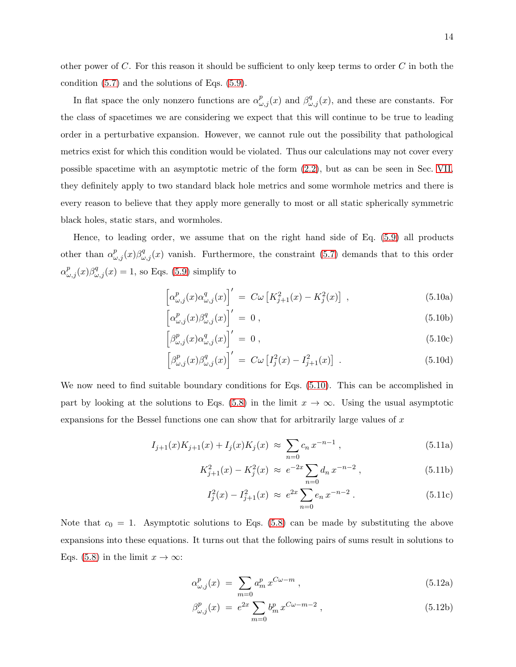other power of  $C$ . For this reason it should be sufficient to only keep terms to order  $C$  in both the condition [\(5.7\)](#page-12-0) and the solutions of Eqs. [\(5.9\)](#page-12-1).

In flat space the only nonzero functions are  $\alpha_{\omega,j}^p(x)$  and  $\beta_{\omega,j}^q(x)$ , and these are constants. For the class of spacetimes we are considering we expect that this will continue to be true to leading order in a perturbative expansion. However, we cannot rule out the possibility that pathological metrics exist for which this condition would be violated. Thus our calculations may not cover every possible spacetime with an asymptotic metric of the form [\(2.2\)](#page-3-2), but as can be seen in Sec. [VII,](#page-26-0) they definitely apply to two standard black hole metrics and some wormhole metrics and there is every reason to believe that they apply more generally to most or all static spherically symmetric black holes, static stars, and wormholes.

Hence, to leading order, we assume that on the right hand side of Eq. [\(5.9\)](#page-12-1) all products other than  $\alpha_{\omega,j}^p(x)\beta_{\omega,j}^q(x)$  vanish. Furthermore, the constraint [\(5.7\)](#page-12-0) demands that to this order  $\alpha_{\omega,j}^p(x)\beta_{\omega,j}^q(x) = 1$ , so Eqs. [\(5.9\)](#page-12-1) simplify to

<span id="page-13-1"></span><span id="page-13-0"></span>
$$
\left[\alpha_{\omega,j}^p(x)\alpha_{\omega,j}^q(x)\right]' = C\omega \left[K_{j+1}^2(x) - K_j^2(x)\right] \,,\tag{5.10a}
$$

$$
\left[\alpha^p_{\omega,j}(x)\beta^q_{\omega,j}(x)\right]' = 0, \qquad (5.10b)
$$

$$
\left[\beta^p_{\omega,j}(x)\alpha^q_{\omega,j}(x)\right]' = 0, \qquad (5.10c)
$$

$$
\left[\beta^p_{\omega,j}(x)\beta^q_{\omega,j}(x)\right]' = C\omega \left[I_j^2(x) - I_{j+1}^2(x)\right].
$$
\n(5.10d)

We now need to find suitable boundary conditions for Eqs.  $(5.10)$ . This can be accomplished in part by looking at the solutions to Eqs. [\(5.8\)](#page-12-2) in the limit  $x \to \infty$ . Using the usual asymptotic expansions for the Bessel functions one can show that for arbitrarily large values of  $x$ 

$$
I_{j+1}(x)K_{j+1}(x) + I_j(x)K_j(x) \approx \sum_{n=0} c_n x^{-n-1}, \qquad (5.11a)
$$

$$
K_{j+1}^2(x) - K_j^2(x) \approx e^{-2x} \sum_{n=0} d_n x^{-n-2}, \qquad (5.11b)
$$

$$
I_j^2(x) - I_{j+1}^2(x) \approx e^{2x} \sum_{n=0} e_n x^{-n-2} . \tag{5.11c}
$$

Note that  $c_0 = 1$ . Asymptotic solutions to Eqs. [\(5.8\)](#page-12-2) can be made by substituting the above expansions into these equations. It turns out that the following pairs of sums result in solutions to Eqs. [\(5.8\)](#page-12-2) in the limit  $x \to \infty$ :

$$
\alpha_{\omega,j}^p(x) \ = \ \sum_{m=0} a_m^p \, x^{C\omega - m} \,, \tag{5.12a}
$$

$$
\beta_{\omega,j}^p(x) = e^{2x} \sum_{m=0} b_m^p x^{C\omega - m - 2}, \qquad (5.12b)
$$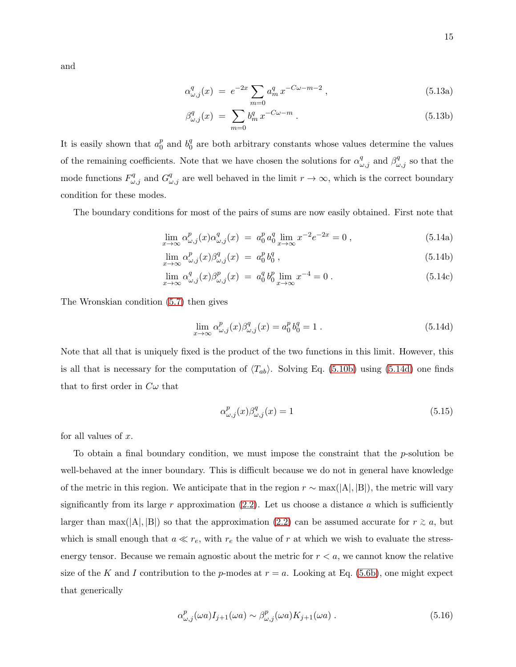and

$$
\alpha_{\omega,j}^q(x) = e^{-2x} \sum_{m=0} a_m^q x^{-C\omega - m - 2}, \qquad (5.13a)
$$

$$
\beta_{\omega,j}^q(x) = \sum_{m=0} b_m^q x^{-C\omega - m} . \tag{5.13b}
$$

It is easily shown that  $a_0^p$  $_0^p$  and  $b_0^q$  $\frac{q}{0}$  are both arbitrary constants whose values determine the values of the remaining coefficients. Note that we have chosen the solutions for  $\alpha_{\omega,j}^q$  and  $\beta_{\omega,j}^q$  so that the mode functions  $F^q_{\omega,j}$  and  $G^q_{\omega,j}$  are well behaved in the limit  $r \to \infty$ , which is the correct boundary condition for these modes.

The boundary conditions for most of the pairs of sums are now easily obtained. First note that

<span id="page-14-3"></span>
$$
\lim_{x \to \infty} \alpha_{\omega,j}^p(x) \alpha_{\omega,j}^q(x) = a_0^p a_0^q \lim_{x \to \infty} x^{-2} e^{-2x} = 0,
$$
\n(5.14a)

$$
\lim_{x \to \infty} \alpha_{\omega,j}^p(x) \beta_{\omega,j}^q(x) = a_0^p b_0^q , \qquad (5.14b)
$$

$$
\lim_{x \to \infty} \alpha_{\omega,j}^q(x) \beta_{\omega,j}^p(x) = a_0^q b_0^p \lim_{x \to \infty} x^{-4} = 0.
$$
\n(5.14c)

The Wronskian condition [\(5.7\)](#page-12-0) then gives

<span id="page-14-0"></span>
$$
\lim_{x \to \infty} \alpha_{\omega,j}^p(x) \beta_{\omega,j}^q(x) = a_0^p b_0^q = 1.
$$
\n(5.14d)

Note that all that is uniquely fixed is the product of the two functions in this limit. However, this is all that is necessary for the computation of  $\langle T_{ab} \rangle$ . Solving Eq. [\(5.10b\)](#page-13-1) using [\(5.14d\)](#page-14-0) one finds that to first order in  $C\omega$  that

<span id="page-14-2"></span>
$$
\alpha_{\omega,j}^p(x)\beta_{\omega,j}^q(x) = 1\tag{5.15}
$$

for all values of  $x$ .

To obtain a final boundary condition, we must impose the constraint that the  $p$ -solution be well-behaved at the inner boundary. This is difficult because we do not in general have knowledge of the metric in this region. We anticipate that in the region  $r \sim \max(|A|, |B|)$ , the metric will vary significantly from its large r approximation  $(2.2)$ . Let us choose a distance a which is sufficiently larger than max(|A|, |B|) so that the approximation [\(2.2\)](#page-3-2) can be assumed accurate for  $r \ge a$ , but which is small enough that  $a \ll r_e$ , with  $r_e$  the value of r at which we wish to evaluate the stressenergy tensor. Because we remain agnostic about the metric for  $r < a$ , we cannot know the relative size of the K and I contribution to the p-modes at  $r = a$ . Looking at Eq. [\(5.6b\)](#page-11-2), one might expect that generically

<span id="page-14-1"></span>
$$
\alpha_{\omega,j}^p(\omega a) I_{j+1}(\omega a) \sim \beta_{\omega,j}^p(\omega a) K_{j+1}(\omega a) . \tag{5.16}
$$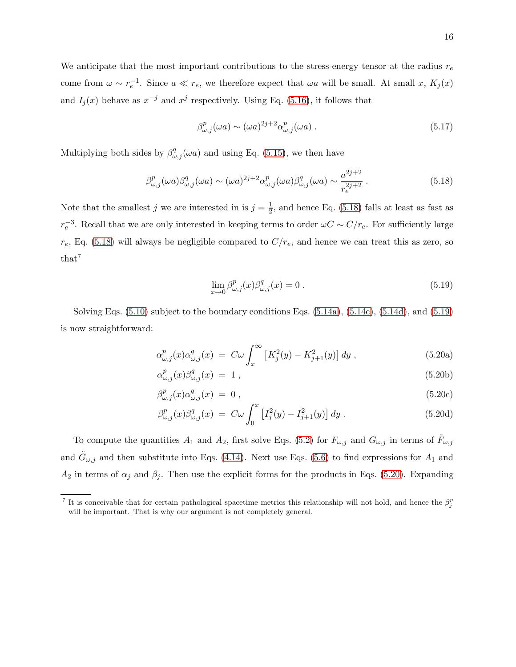We anticipate that the most important contributions to the stress-energy tensor at the radius  $r_e$ come from  $\omega \sim r_e^{-1}$ . Since  $a \ll r_e$ , we therefore expect that  $\omega a$  will be small. At small x,  $K_j(x)$ and  $I_j(x)$  behave as  $x^{-j}$  and  $x^j$  respectively. Using Eq. [\(5.16\)](#page-14-1), it follows that

$$
\beta_{\omega,j}^p(\omega a) \sim (\omega a)^{2j+2} \alpha_{\omega,j}^p(\omega a) \,. \tag{5.17}
$$

Multiplying both sides by  $\beta_{\omega,j}^q(\omega a)$  and using Eq. [\(5.15\)](#page-14-2), we then have

<span id="page-15-0"></span>
$$
\beta_{\omega,j}^p(\omega a)\beta_{\omega,j}^q(\omega a) \sim (\omega a)^{2j+2} \alpha_{\omega,j}^p(\omega a)\beta_{\omega,j}^q(\omega a) \sim \frac{a^{2j+2}}{r_e^{2j+2}}.
$$
\n(5.18)

Note that the smallest j we are interested in is  $j=\frac{1}{2}$  $\frac{1}{2}$ , and hence Eq. [\(5.18\)](#page-15-0) falls at least as fast as  $r_e^{-3}$ . Recall that we are only interested in keeping terms to order  $\omega C \sim C/r_e$ . For sufficiently large  $r_e$ , Eq. [\(5.18\)](#page-15-0) will always be negligible compared to  $C/r_e$ , and hence we can treat this as zero, so that<sup>7</sup>

<span id="page-15-1"></span>
$$
\lim_{x \to 0} \beta^p_{\omega,j}(x) \beta^q_{\omega,j}(x) = 0.
$$
\n(5.19)

Solving Eqs. [\(5.10\)](#page-13-0) subject to the boundary conditions Eqs. [\(5.14a\)](#page-14-3), [\(5.14c\)](#page-14-3), [\(5.14d\)](#page-14-0), and [\(5.19\)](#page-15-1) is now straightforward:

<span id="page-15-2"></span>
$$
\alpha_{\omega,j}^p(x)\alpha_{\omega,j}^q(x) = C\omega \int_x^{\infty} \left[ K_j^2(y) - K_{j+1}^2(y) \right] dy , \qquad (5.20a)
$$

$$
\alpha_{\omega,j}^p(x)\beta_{\omega,j}^q(x) = 1 , \qquad (5.20b)
$$

$$
\beta_{\omega,j}^p(x)\alpha_{\omega,j}^q(x) = 0 , \qquad (5.20c)
$$

$$
\beta_{\omega,j}^p(x)\beta_{\omega,j}^q(x) = C\omega \int_0^x \left[I_j^2(y) - I_{j+1}^2(y)\right] dy.
$$
 (5.20d)

To compute the quantities  $A_1$  and  $A_2$ , first solve Eqs. [\(5.2\)](#page-11-3) for  $F_{\omega,j}$  and  $G_{\omega,j}$  in terms of  $\tilde{F}_{\omega,j}$ and  $\tilde{G}_{\omega,j}$  and then substitute into Eqs. [\(4.14\)](#page-10-4). Next use Eqs. [\(5.6\)](#page-11-1) to find expressions for  $A_1$  and  $A_2$  in terms of  $\alpha_j$  and  $\beta_j$ . Then use the explicit forms for the products in Eqs. [\(5.20\)](#page-15-2). Expanding

<sup>&</sup>lt;sup>7</sup> It is conceivable that for certain pathological spacetime metrics this relationship will not hold, and hence the  $\beta_j^p$ will be important. That is why our argument is not completely general.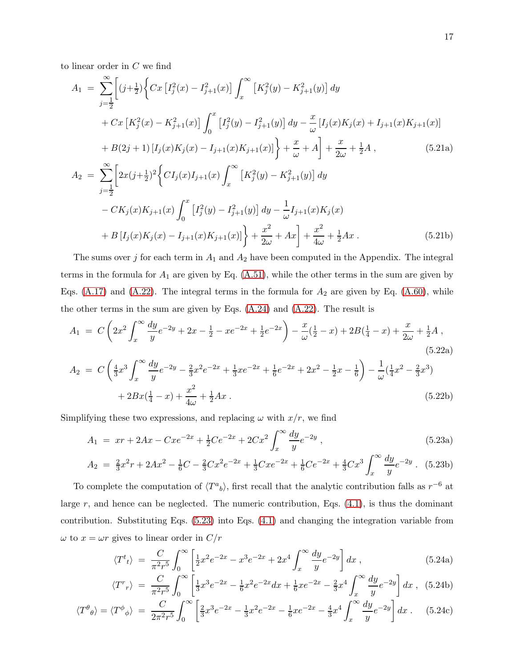to linear order in C we find

$$
A_{1} = \sum_{j=\frac{1}{2}}^{\infty} \left[ (j+\frac{1}{2}) \left\{ Cx \left[ I_{j}^{2}(x) - I_{j+1}^{2}(x) \right] \int_{x}^{\infty} \left[ K_{j}^{2}(y) - K_{j+1}^{2}(y) \right] dy \right. \\ + Cx \left[ K_{j}^{2}(x) - K_{j+1}^{2}(x) \right] \int_{0}^{x} \left[ I_{j}^{2}(y) - I_{j+1}^{2}(y) \right] dy - \frac{x}{\omega} \left[ I_{j}(x)K_{j}(x) + I_{j+1}(x)K_{j+1}(x) \right] \\ + B(2j+1) \left[ I_{j}(x)K_{j}(x) - I_{j+1}(x)K_{j+1}(x) \right] \right\} + \frac{x}{\omega} + A \left] + \frac{x}{2\omega} + \frac{1}{2}A , \qquad (5.21a)
$$
  
\n
$$
A_{2} = \sum_{j=\frac{1}{2}}^{\infty} \left[ 2x(j+\frac{1}{2})^{2} \left\{ C I_{j}(x)I_{j+1}(x) \int_{x}^{\infty} \left[ K_{j}^{2}(y) - K_{j+1}^{2}(y) \right] dy \right. \\ - C K_{j}(x)K_{j+1}(x) \int_{0}^{x} \left[ I_{j}^{2}(y) - I_{j+1}^{2}(y) \right] dy - \frac{1}{\omega} I_{j+1}(x)K_{j}(x) \\ + B \left[ I_{j}(x)K_{j}(x) - I_{j+1}(x)K_{j+1}(x) \right] \right\} + \frac{x^{2}}{2\omega} + Ax \right] + \frac{x^{2}}{4\omega} + \frac{1}{2}Ax . \qquad (5.21b)
$$

The sums over j for each term in  $A_1$  and  $A_2$  have been computed in the Appendix. The integral terms in the formula for  $A_1$  are given by Eq.  $(A.51)$ , while the other terms in the sum are given by Eqs.  $(A.17)$  and  $(A.22)$ . The integral terms in the formula for  $A_2$  are given by Eq.  $(A.60)$ , while the other terms in the sum are given by Eqs.  $(A.24)$  and  $(A.22)$ . The result is

$$
A_1 = C \left( 2x^2 \int_x^{\infty} \frac{dy}{y} e^{-2y} + 2x - \frac{1}{2} - xe^{-2x} + \frac{1}{2}e^{-2x} \right) - \frac{x}{\omega} (\frac{1}{2} - x) + 2B(\frac{1}{4} - x) + \frac{x}{2\omega} + \frac{1}{2}A,
$$
\n(5.22a)

$$
A_2 = C \left( \frac{4}{3} x^3 \int_x^{\infty} \frac{dy}{y} e^{-2y} - \frac{2}{3} x^2 e^{-2x} + \frac{1}{3} x e^{-2x} + \frac{1}{6} e^{-2x} + 2x^2 - \frac{1}{2} x - \frac{1}{6} \right) - \frac{1}{\omega} (\frac{1}{4} x^2 - \frac{2}{3} x^3) + 2Bx(\frac{1}{4} - x) + \frac{x^2}{4\omega} + \frac{1}{2} Ax
$$
 (5.22b)

Simplifying these two expressions, and replacing  $\omega$  with  $x/r$ , we find

<span id="page-16-0"></span>
$$
A_1 = xr + 2Ax - Cxe^{-2x} + \frac{1}{2}Ce^{-2x} + 2Cx^2 \int_x^\infty \frac{dy}{y} e^{-2y},
$$
\n(5.23a)

$$
A_2 = \frac{2}{3}x^2r + 2Ax^2 - \frac{1}{6}C - \frac{2}{3}Cx^2e^{-2x} + \frac{1}{3}Cxe^{-2x} + \frac{1}{6}Ce^{-2x} + \frac{4}{3}Cx^3\int_x^\infty\frac{dy}{y}e^{-2y}. \tag{5.23b}
$$

To complete the computation of  $\langle T^a{}_b \rangle$ , first recall that the analytic contribution falls as  $r^{-6}$  at large  $r$ , and hence can be neglected. The numeric contribution, Eqs.  $(4.1)$ , is thus the dominant contribution. Substituting Eqs. [\(5.23\)](#page-16-0) into Eqs. [\(4.1\)](#page-8-3) and changing the integration variable from  $\omega$  to  $x=\omega r$  gives to linear order in  $C/r$ 

$$
\langle T^{t}{}_{t}\rangle \ =\ \frac{C}{\pi^{2}r^{5}}\int_{0}^{\infty}\left[\frac{1}{2}x^{2}e^{-2x} - x^{3}e^{-2x} + 2x^{4}\int_{x}^{\infty}\frac{dy}{y}e^{-2y}\right]dx\,,\tag{5.24a}
$$

$$
\langle T^r r \rangle = \frac{C}{\pi^2 r^5} \int_0^\infty \left[ \frac{1}{3} x^3 e^{-2x} - \frac{1}{6} x^2 e^{-2x} dx + \frac{1}{6} x e^{-2x} - \frac{2}{3} x^4 \int_x^\infty \frac{dy}{y} e^{-2y} \right] dx \,, \tag{5.24b}
$$

$$
\langle T^{\theta}_{\theta} \rangle = \langle T^{\phi}_{\phi} \rangle = \frac{C}{2\pi^{2}r^{5}} \int_{0}^{\infty} \left[ \frac{2}{3}x^{3}e^{-2x} - \frac{1}{3}x^{2}e^{-2x} - \frac{1}{6}xe^{-2x} - \frac{4}{3}x^{4} \int_{x}^{\infty} \frac{dy}{y} e^{-2y} \right] dx \,. \tag{5.24c}
$$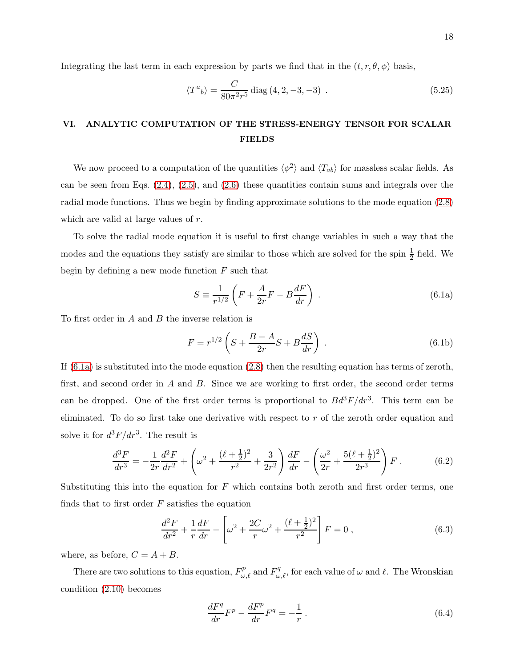Integrating the last term in each expression by parts we find that in the  $(t, r, \theta, \phi)$  basis,

<span id="page-17-5"></span>
$$
\langle T^a{}_b \rangle = \frac{C}{80\pi^2 r^5} \text{diag}\left(4, 2, -3, -3\right) \,. \tag{5.25}
$$

### <span id="page-17-0"></span>VI. ANALYTIC COMPUTATION OF THE STRESS-ENERGY TENSOR FOR SCALAR FIELDS

We now proceed to a computation of the quantities  $\langle \phi^2 \rangle$  and  $\langle T_{ab} \rangle$  for massless scalar fields. As can be seen from Eqs.  $(2.4)$ ,  $(2.5)$ , and  $(2.6)$  these quantities contain sums and integrals over the radial mode functions. Thus we begin by finding approximate solutions to the mode equation [\(2.8\)](#page-5-4) which are valid at large values of r.

To solve the radial mode equation it is useful to first change variables in such a way that the modes and the equations they satisfy are similar to those which are solved for the spin  $\frac{1}{2}$  field. We begin by defining a new mode function  $F$  such that

<span id="page-17-1"></span>
$$
S \equiv \frac{1}{r^{1/2}} \left( F + \frac{A}{2r} F - B \frac{dF}{dr} \right) . \tag{6.1a}
$$

To first order in  $A$  and  $B$  the inverse relation is

<span id="page-17-4"></span>
$$
F = r^{1/2} \left( S + \frac{B - A}{2r} S + B \frac{dS}{dr} \right) .
$$
 (6.1b)

If [\(6.1a\)](#page-17-1) is substituted into the mode equation [\(2.8\)](#page-5-4) then the resulting equation has terms of zeroth, first, and second order in A and B. Since we are working to first order, the second order terms can be dropped. One of the first order terms is proportional to  $Bd^3F/dr^3$ . This term can be eliminated. To do so first take one derivative with respect to  $r$  of the zeroth order equation and solve it for  $d^3F/dr^3$ . The result is

$$
\frac{d^3F}{dr^3} = -\frac{1}{2r}\frac{d^2F}{dr^2} + \left(\omega^2 + \frac{(\ell + \frac{1}{2})^2}{r^2} + \frac{3}{2r^2}\right)\frac{dF}{dr} - \left(\frac{\omega^2}{2r} + \frac{5(\ell + \frac{1}{2})^2}{2r^3}\right)F\,. \tag{6.2}
$$

Substituting this into the equation for  $F$  which contains both zeroth and first order terms, one finds that to first order  $F$  satisfies the equation

<span id="page-17-2"></span>
$$
\frac{d^2F}{dr^2} + \frac{1}{r}\frac{dF}{dr} - \left[\omega^2 + \frac{2C}{r}\omega^2 + \frac{(\ell + \frac{1}{2})^2}{r^2}\right]F = 0\,,\tag{6.3}
$$

where, as before,  $C = A + B$ .

There are two solutions to this equation,  $F_{\omega,\ell}^p$  and  $F_{\omega,\ell}^q$ , for each value of  $\omega$  and  $\ell$ . The Wronskian condition [\(2.10\)](#page-5-2) becomes

<span id="page-17-3"></span>
$$
\frac{dF^q}{dr}F^p - \frac{dF^p}{dr}F^q = -\frac{1}{r}.
$$
\n(6.4)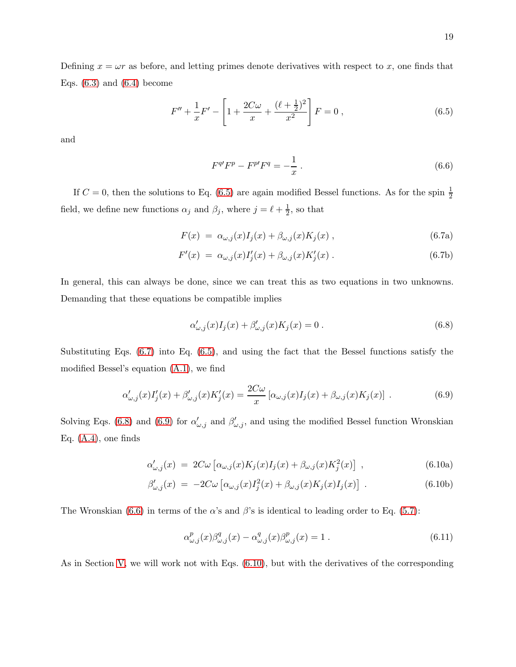Defining  $x = \omega r$  as before, and letting primes denote derivatives with respect to x, one finds that Eqs.  $(6.3)$  and  $(6.4)$  become

<span id="page-18-0"></span>
$$
F'' + \frac{1}{x}F' - \left[1 + \frac{2C\omega}{x} + \frac{(\ell + \frac{1}{2})^2}{x^2}\right]F = 0,
$$
\n(6.5)

and

<span id="page-18-4"></span><span id="page-18-1"></span>
$$
F^{q'}F^p - F^{p'}F^q = -\frac{1}{x} \,. \tag{6.6}
$$

If  $C = 0$ , then the solutions to Eq. [\(6.5\)](#page-18-0) are again modified Bessel functions. As for the spin  $\frac{1}{2}$ field, we define new functions  $\alpha_j$  and  $\beta_j$ , where  $j = \ell + \frac{1}{2}$  $\frac{1}{2}$ , so that

<span id="page-18-7"></span>
$$
F(x) = \alpha_{\omega,j}(x)I_j(x) + \beta_{\omega,j}(x)K_j(x) , \qquad (6.7a)
$$

$$
F'(x) = \alpha_{\omega,j}(x)I'_j(x) + \beta_{\omega,j}(x)K'_j(x).
$$
\n(6.7b)

In general, this can always be done, since we can treat this as two equations in two unknowns. Demanding that these equations be compatible implies

<span id="page-18-2"></span>
$$
\alpha'_{\omega,j}(x)I_j(x) + \beta'_{\omega,j}(x)K_j(x) = 0.
$$
\n
$$
(6.8)
$$

Substituting Eqs. [\(6.7\)](#page-18-1) into Eq. [\(6.5\)](#page-18-0), and using the fact that the Bessel functions satisfy the modified Bessel's equation [\(A.1\)](#page-32-2), we find

<span id="page-18-3"></span>
$$
\alpha'_{\omega,j}(x)I'_j(x) + \beta'_{\omega,j}(x)K'_j(x) = \frac{2C\omega}{x} \left[ \alpha_{\omega,j}(x)I_j(x) + \beta_{\omega,j}(x)K_j(x) \right] \tag{6.9}
$$

Solving Eqs. [\(6.8\)](#page-18-2) and [\(6.9\)](#page-18-3) for  $\alpha'_{\omega,j}$  and  $\beta'_{\omega,j}$ , and using the modified Bessel function Wronskian Eq.  $(A.4)$ , one finds

<span id="page-18-5"></span>
$$
\alpha'_{\omega,j}(x) = 2C\omega \left[ \alpha_{\omega,j}(x) K_j(x) I_j(x) + \beta_{\omega,j}(x) K_j^2(x) \right] , \qquad (6.10a)
$$

$$
\beta'_{\omega,j}(x) = -2C\omega \left[ \alpha_{\omega,j}(x)I_j^2(x) + \beta_{\omega,j}(x)K_j(x)I_j(x) \right] \,. \tag{6.10b}
$$

The Wronskian [\(6.6\)](#page-18-4) in terms of the  $\alpha$ 's and  $\beta$ 's is identical to leading order to Eq. [\(5.7\)](#page-12-0):

<span id="page-18-6"></span>
$$
\alpha_{\omega,j}^p(x)\beta_{\omega,j}^q(x) - \alpha_{\omega,j}^q(x)\beta_{\omega,j}^p(x) = 1.
$$
\n(6.11)

As in Section [V,](#page-10-0) we will work not with Eqs. [\(6.10\)](#page-18-5), but with the derivatives of the corresponding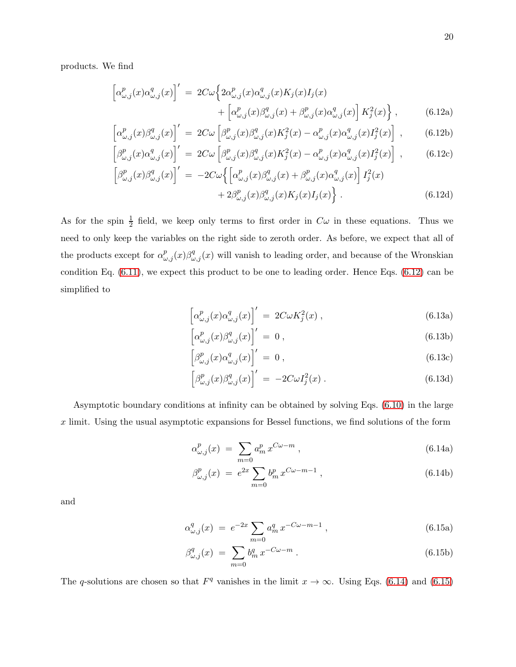products. We find

<span id="page-19-0"></span>
$$
\begin{aligned}\n\left[\alpha_{\omega,j}^p(x)\alpha_{\omega,j}^q(x)\right]' &= 2C\omega \left\{2\alpha_{\omega,j}^p(x)\alpha_{\omega,j}^q(x)K_j(x)I_j(x) + \left[\alpha_{\omega,j}^p(x)\beta_{\omega,j}^q(x) + \beta_{\omega,j}^p(x)\alpha_{\omega,j}^q(x)\right]K_j^2(x)\right\},\n\end{aligned} \tag{6.12a}
$$

$$
\left[\alpha_{\omega,j}^p(x)\beta_{\omega,j}^q(x)\right]' = 2C\omega \left[\beta_{\omega,j}^p(x)\beta_{\omega,j}^q(x)K_j^2(x) - \alpha_{\omega,j}^p(x)\alpha_{\omega,j}^q(x)I_j^2(x)\right],\tag{6.12b}
$$

$$
\left[\beta^p_{\omega,j}(x)\alpha^q_{\omega,j}(x)\right]' = 2C\omega \left[\beta^p_{\omega,j}(x)\beta^q_{\omega,j}(x)K_j^2(x) - \alpha^p_{\omega,j}(x)\alpha^q_{\omega,j}(x)I_j^2(x)\right],
$$
\n(6.12c)  
\n
$$
\left[\beta^p_{\omega,j}(x)\beta^q_{\omega,j}(x)\right]' = -2C\omega \left[\left[\beta^p_{\omega,j}(x)\beta^q_{\omega,j}(x) + \beta^p_{\omega,j}(x)\alpha^q_{\omega,j}(x)\right]I_j^2(x)
$$

$$
\left[\beta_{\omega,j}^p(x)\beta_{\omega,j}^q(x)\right]' = -2C\omega\left\{\left[\alpha_{\omega,j}^p(x)\beta_{\omega,j}^q(x) + \beta_{\omega,j}^p(x)\alpha_{\omega,j}^q(x)\right]I_j^2(x) + 2\beta_{\omega,j}^p(x)\beta_{\omega,j}^q(x)K_j(x)I_j(x)\right\}.
$$
\n(6.12d)

As for the spin  $\frac{1}{2}$  field, we keep only terms to first order in  $C\omega$  in these equations. Thus we need to only keep the variables on the right side to zeroth order. As before, we expect that all of the products except for  $\alpha_{\omega,j}^p(x)\beta_{\omega,j}^q(x)$  will vanish to leading order, and because of the Wronskian condition Eq. [\(6.11\)](#page-18-6), we expect this product to be one to leading order. Hence Eqs. [\(6.12\)](#page-19-0) can be simplified to

<span id="page-19-4"></span><span id="page-19-3"></span>
$$
\left[\alpha^p_{\omega,j}(x)\alpha^q_{\omega,j}(x)\right]' = 2C\omega K_j^2(x) ,\qquad(6.13a)
$$

$$
\left[\alpha^p_{\omega,j}(x)\beta^q_{\omega,j}(x)\right]' = 0, \qquad (6.13b)
$$

$$
\left[\beta^p_{\omega,j}(x)\alpha^q_{\omega,j}(x)\right]' = 0, \qquad (6.13c)
$$

$$
\left[\beta^p_{\omega,j}(x)\beta^q_{\omega,j}(x)\right]' = -2C\omega I_j^2(x) . \qquad (6.13d)
$$

Asymptotic boundary conditions at infinity can be obtained by solving Eqs. [\(6.10\)](#page-18-5) in the large  $x$  limit. Using the usual asymptotic expansions for Bessel functions, we find solutions of the form

<span id="page-19-1"></span>
$$
\alpha_{\omega,j}^p(x) \ = \ \sum_{m=0} a_m^p \, x^{C\omega - m} \ , \tag{6.14a}
$$

$$
\beta_{\omega,j}^p(x) = e^{2x} \sum_{m=0} b_m^p x^{C\omega - m - 1}, \qquad (6.14b)
$$

<span id="page-19-2"></span>and

$$
\alpha_{\omega,j}^q(x) = e^{-2x} \sum_{m=0} a_m^q x^{-C\omega - m - 1}, \qquad (6.15a)
$$

$$
\beta_{\omega,j}^q(x) = \sum_{m=0} b_m^q x^{-C\omega - m} . \tag{6.15b}
$$

The q-solutions are chosen so that  $F<sup>q</sup>$  vanishes in the limit  $x \to \infty$ . Using Eqs. [\(6.14\)](#page-19-1) and [\(6.15\)](#page-19-2)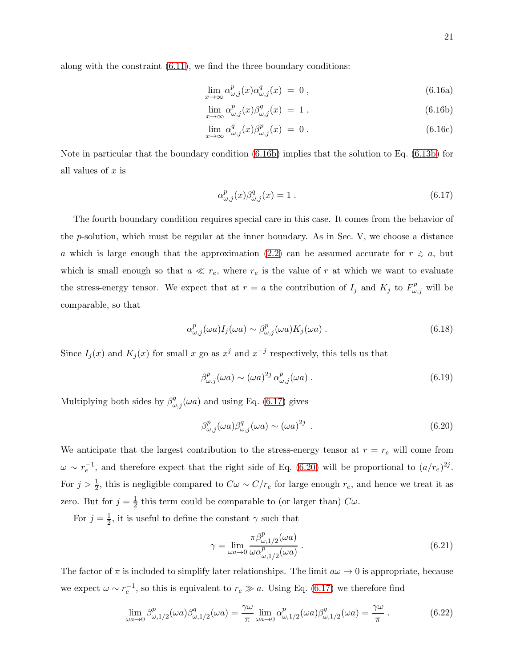<span id="page-20-3"></span><span id="page-20-0"></span>
$$
\lim_{x \to \infty} \alpha_{\omega,j}^p(x) \alpha_{\omega,j}^q(x) = 0 , \qquad (6.16a)
$$

$$
\lim_{x \to \infty} \alpha_{\omega,j}^p(x) \beta_{\omega,j}^q(x) = 1 , \qquad (6.16b)
$$

$$
\lim_{x \to \infty} \alpha_{\omega,j}^q(x) \beta_{\omega,j}^p(x) = 0.
$$
\n(6.16c)

Note in particular that the boundary condition [\(6.16b\)](#page-20-0) implies that the solution to Eq. [\(6.13b\)](#page-19-3) for all values of  $x$  is

<span id="page-20-1"></span>
$$
\alpha_{\omega,j}^p(x)\beta_{\omega,j}^q(x) = 1.
$$
\n(6.17)

The fourth boundary condition requires special care in this case. It comes from the behavior of the p-solution, which must be regular at the inner boundary. As in Sec. V, we choose a distance a which is large enough that the approximation [\(2.2\)](#page-3-2) can be assumed accurate for  $r \geq a$ , but which is small enough so that  $a \ll r_e$ , where  $r_e$  is the value of r at which we want to evaluate the stress-energy tensor. We expect that at  $r = a$  the contribution of  $I_j$  and  $K_j$  to  $F^p_{\omega, j}$  will be comparable, so that

$$
\alpha_{\omega,j}^p(\omega a) I_j(\omega a) \sim \beta_{\omega,j}^p(\omega a) K_j(\omega a) . \tag{6.18}
$$

Since  $I_j(x)$  and  $K_j(x)$  for small x go as  $x^j$  and  $x^{-j}$  respectively, this tells us that

$$
\beta_{\omega,j}^p(\omega a) \sim (\omega a)^{2j} \alpha_{\omega,j}^p(\omega a) \tag{6.19}
$$

Multiplying both sides by  $\beta_{\omega,j}^q(\omega a)$  and using Eq. [\(6.17\)](#page-20-1) gives

<span id="page-20-2"></span>
$$
\beta_{\omega,j}^p(\omega a)\beta_{\omega,j}^q(\omega a) \sim (\omega a)^{2j} \tag{6.20}
$$

We anticipate that the largest contribution to the stress-energy tensor at  $r = r_e$  will come from  $\omega \sim r_e^{-1}$ , and therefore expect that the right side of Eq. [\(6.20\)](#page-20-2) will be proportional to  $(a/r_e)^{2j}$ . For  $j > \frac{1}{2}$ , this is negligible compared to  $C\omega \sim C/r_e$  for large enough  $r_e$ , and hence we treat it as zero. But for  $j=\frac{1}{2}$  $\frac{1}{2}$  this term could be comparable to (or larger than)  $C\omega$ .

For  $j=\frac{1}{2}$  $\frac{1}{2}$ , it is useful to define the constant  $\gamma$  such that

<span id="page-20-4"></span>
$$
\gamma = \lim_{\omega a \to 0} \frac{\pi \beta_{\omega, 1/2}^p(\omega a)}{\omega \alpha_{\omega, 1/2}^p(\omega a)}.
$$
\n(6.21)

The factor of  $\pi$  is included to simplify later relationships. The limit  $a\omega \to 0$  is appropriate, because we expect  $\omega \sim r_e^{-1}$ , so this is equivalent to  $r_e \gg a$ . Using Eq. [\(6.17\)](#page-20-1) we therefore find

$$
\lim_{\omega a \to 0} \beta_{\omega, 1/2}^p(\omega a) \beta_{\omega, 1/2}^q(\omega a) = \frac{\gamma \omega}{\pi} \lim_{\omega a \to 0} \alpha_{\omega, 1/2}^p(\omega a) \beta_{\omega, 1/2}^q(\omega a) = \frac{\gamma \omega}{\pi}.
$$
 (6.22)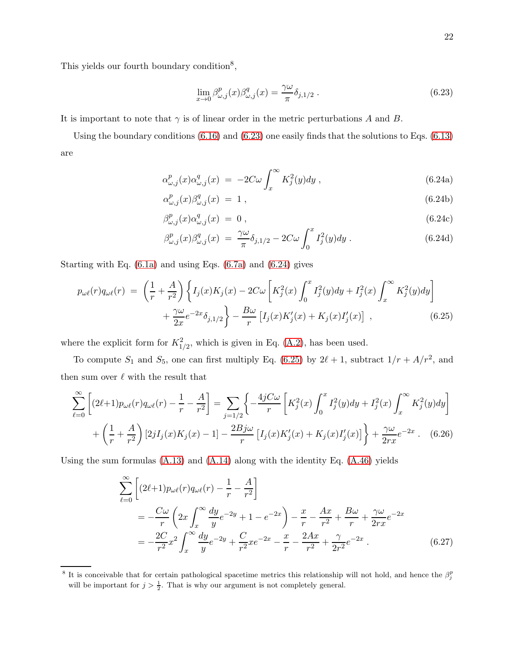This yields our fourth boundary condition<sup>8</sup>,

<span id="page-21-0"></span>
$$
\lim_{x \to 0} \beta_{\omega,j}^p(x) \beta_{\omega,j}^q(x) = \frac{\gamma \omega}{\pi} \delta_{j,1/2} .
$$
\n(6.23)

It is important to note that  $\gamma$  is of linear order in the metric perturbations A and B.

<span id="page-21-1"></span>Using the boundary conditions [\(6.16\)](#page-20-3) and [\(6.23\)](#page-21-0) one easily finds that the solutions to Eqs. [\(6.13\)](#page-19-4) are

$$
\alpha_{\omega,j}^p(x)\alpha_{\omega,j}^q(x) = -2C\omega \int_x^\infty K_j^2(y)dy ,\qquad(6.24a)
$$

$$
\alpha_{\omega,j}^p(x)\beta_{\omega,j}^q(x) = 1 , \qquad (6.24b)
$$

$$
\beta_{\omega,j}^p(x)\alpha_{\omega,j}^q(x) = 0 , \qquad (6.24c)
$$

$$
\beta_{\omega,j}^p(x)\beta_{\omega,j}^q(x) = \frac{\gamma\omega}{\pi}\delta_{j,1/2} - 2C\omega \int_0^x I_j^2(y)dy.
$$
 (6.24d)

Starting with Eq. [\(6.1a\)](#page-17-1) and using Eqs. [\(6.7a\)](#page-18-7) and [\(6.24\)](#page-21-1) gives

<span id="page-21-2"></span>
$$
p_{\omega\ell}(r)q_{\omega\ell}(r) = \left(\frac{1}{r} + \frac{A}{r^2}\right) \left\{ I_j(x)K_j(x) - 2C\omega \left[K_j^2(x) \int_0^x I_j^2(y)dy + I_j^2(x) \int_x^\infty K_j^2(y)dy \right] + \frac{\gamma\omega}{2x} e^{-2x} \delta_{j,1/2} \right\} - \frac{B\omega}{r} \left[ I_j(x)K_j'(x) + K_j(x)I_j'(x) \right] ,
$$
 (6.25)

where the explicit form for  $K_{1/2}^2$ , which is given in Eq. [\(A.2\)](#page-32-4), has been used.

To compute  $S_1$  and  $S_5$ , one can first multiply Eq. [\(6.25\)](#page-21-2) by  $2\ell + 1$ , subtract  $1/r + A/r^2$ , and then sum over  $\ell$  with the result that

$$
\sum_{\ell=0}^{\infty} \left[ (2\ell+1) p_{\omega\ell}(r) q_{\omega\ell}(r) - \frac{1}{r} - \frac{A}{r^2} \right] = \sum_{j=1/2} \left\{ -\frac{4jC\omega}{r} \left[ K_j^2(x) \int_0^x I_j^2(y) dy + I_j^2(x) \int_x^\infty K_j^2(y) dy \right] + \left( \frac{1}{r} + \frac{A}{r^2} \right) \left[ 2jI_j(x)K_j(x) - 1 \right] - \frac{2Bj\omega}{r} \left[ I_j(x)K_j'(x) + K_j(x)I_j'(x) \right] \right\} + \frac{\gamma\omega}{2rx} e^{-2x} . \tag{6.26}
$$

Using the sum formulas [\(A.13\)](#page-34-1) and [\(A.14\)](#page-34-2) along with the identity Eq. [\(A.46\)](#page-38-0) yields

$$
\sum_{\ell=0}^{\infty} \left[ (2\ell+1) p_{\omega\ell}(r) q_{\omega\ell}(r) - \frac{1}{r} - \frac{A}{r^2} \right]
$$
  
=  $-\frac{C\omega}{r} \left( 2x \int_x^{\infty} \frac{dy}{y} e^{-2y} + 1 - e^{-2x} \right) - \frac{x}{r} - \frac{Ax}{r^2} + \frac{B\omega}{r} + \frac{\gamma\omega}{2rx} e^{-2x}$   
=  $-\frac{2C}{r^2} x^2 \int_x^{\infty} \frac{dy}{y} e^{-2y} + \frac{C}{r^2} x e^{-2x} - \frac{x}{r} - \frac{2Ax}{r^2} + \frac{\gamma}{2r^2} e^{-2x}$ . (6.27)

<sup>&</sup>lt;sup>8</sup> It is conceivable that for certain pathological spacetime metrics this relationship will not hold, and hence the  $\beta_j^p$ will be important for  $j > \frac{1}{2}$ . That is why our argument is not completely general.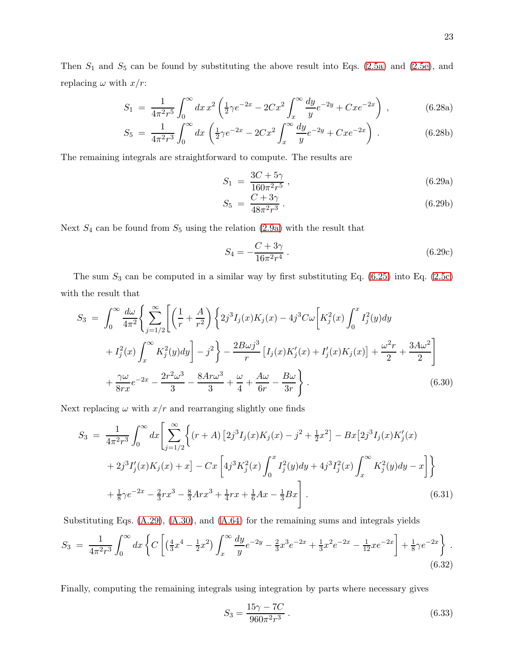Then  $S_1$  and  $S_5$  can be found by substituting the above result into Eqs. [\(2.5a\)](#page-4-3) and [\(2.5e\)](#page-4-3), and replacing  $\omega$  with  $x/r$ :

$$
S_1 = \frac{1}{4\pi^2 r^5} \int_0^\infty dx \, x^2 \left( \frac{1}{2} \gamma e^{-2x} - 2Cx^2 \int_x^\infty \frac{dy}{y} e^{-2y} + Cxe^{-2x} \right) \,, \tag{6.28a}
$$

$$
S_5 = \frac{1}{4\pi^2 r^3} \int_0^\infty dx \left( \frac{1}{2} \gamma e^{-2x} - 2Cx^2 \int_x^\infty \frac{dy}{y} e^{-2y} + Cxe^{-2x} \right) . \tag{6.28b}
$$

The remaining integrals are straightforward to compute. The results are

<span id="page-22-0"></span>
$$
S_1 = \frac{3C + 5\gamma}{160\pi^2 r^5},\tag{6.29a}
$$

$$
S_5 = \frac{C + 3\gamma}{48\pi^2 r^3} \,. \tag{6.29b}
$$

Next  $S_4$  can be found from  $S_5$  using the relation [\(2.9a\)](#page-5-5) with the result that

<span id="page-22-1"></span>
$$
S_4 = -\frac{C + 3\gamma}{16\pi^2 r^4} \,. \tag{6.29c}
$$

The sum  $S_3$  can be computed in a similar way by first substituting Eq. [\(6.25\)](#page-21-2) into Eq. [\(2.5c\)](#page-4-3) with the result that

$$
S_3 = \int_0^\infty \frac{d\omega}{4\pi^2} \Biggl\{ \sum_{j=1/2}^\infty \Biggl[ \Bigl( \frac{1}{r} + \frac{A}{r^2} \Bigr) \Biggl\{ 2j^3 I_j(x) K_j(x) - 4j^3 C \omega \Biggl[ K_j^2(x) \int_0^x I_j^2(y) dy \Biggr] + I_j^2(x) \int_x^\infty K_j^2(y) dy \Biggr] - j^2 \Biggr\} - \frac{2B\omega j^3}{r} \left[ I_j(x) K_j'(x) + I_j'(x) K_j(x) \right] + \frac{\omega^2 r}{2} + \frac{3A\omega^2}{2} \Biggr] + \frac{\gamma \omega}{8rx} e^{-2x} - \frac{2r^2 \omega^3}{3} - \frac{8Ar\omega^3}{3} + \frac{\omega}{4} + \frac{A\omega}{6r} - \frac{B\omega}{3r} \Biggr. \tag{6.30}
$$

Next replacing  $\omega$  with  $x/r$  and rearranging slightly one finds

$$
S_3 = \frac{1}{4\pi^2 r^3} \int_0^\infty dx \left[ \sum_{j=1/2}^\infty \left\{ (r+A) \left[ 2j^3 I_j(x) K_j(x) - j^2 + \frac{1}{2} x^2 \right] - Bx \left[ 2j^3 I_j(x) K'_j(x) \right] \right. \\ \left. + 2j^3 I'_j(x) K_j(x) + x \right] - Cx \left[ 4j^3 K_j^2(x) \int_0^x I_j^2(y) dy + 4j^3 I_j^2(x) \int_x^\infty K_j^2(y) dy - x \right] \right\} \\ + \frac{1}{8} \gamma e^{-2x} - \frac{2}{3} r x^3 - \frac{8}{3} A r x^3 + \frac{1}{4} r x + \frac{1}{6} A x - \frac{1}{3} B x \right]. \tag{6.31}
$$

Substituting Eqs. [\(A.29\)](#page-36-0), [\(A.30\)](#page-36-1), and [\(A.64\)](#page-42-11) for the remaining sums and integrals yields

$$
S_3 = \frac{1}{4\pi^2 r^3} \int_0^\infty dx \left\{ C \left[ \left( \frac{4}{3} x^4 - \frac{1}{2} x^2 \right) \int_x^\infty \frac{dy}{y} e^{-2y} - \frac{2}{3} x^3 e^{-2x} + \frac{1}{3} x^2 e^{-2x} - \frac{1}{12} x e^{-2x} \right] + \frac{1}{8} \gamma e^{-2x} \right\}.
$$
\n
$$
(6.32)
$$

Finally, computing the remaining integrals using integration by parts where necessary gives

<span id="page-22-2"></span>
$$
S_3 = \frac{15\gamma - 7C}{960\pi^2 r^3} \,. \tag{6.33}
$$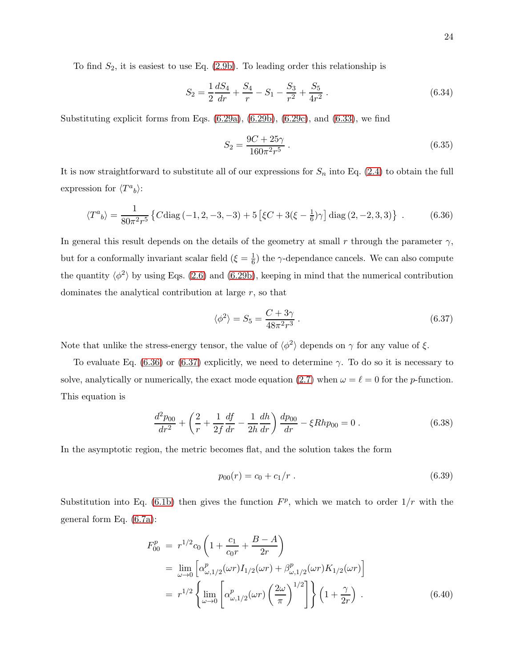To find  $S_2$ , it is easiest to use Eq. [\(2.9b\)](#page-5-5). To leading order this relationship is

$$
S_2 = \frac{1}{2} \frac{dS_4}{dr} + \frac{S_4}{r} - S_1 - \frac{S_3}{r^2} + \frac{S_5}{4r^2} \,. \tag{6.34}
$$

Substituting explicit forms from Eqs.  $(6.29a)$ ,  $(6.29b)$ ,  $(6.29c)$ , and  $(6.33)$ , we find

$$
S_2 = \frac{9C + 25\gamma}{160\pi^2 r^5} \,. \tag{6.35}
$$

It is now straightforward to substitute all of our expressions for  $S_n$  into Eq. [\(2.4\)](#page-4-1) to obtain the full expression for  $\langle T^a{}_b \rangle$ :

<span id="page-23-0"></span>
$$
\langle T^{a}{}_{b}\rangle = \frac{1}{80\pi^{2}r^{5}}\left\{C\text{diag}\left(-1,2,-3,-3\right)+5\left[\xi C+3(\xi-\frac{1}{6})\gamma\right]\text{diag}\left(2,-2,3,3\right)\right\} \ . \tag{6.36}
$$

In general this result depends on the details of the geometry at small r through the parameter  $\gamma$ , but for a conformally invariant scalar field  $(\xi = \frac{1}{6})$  $\frac{1}{6}$ ) the  $\gamma$ -dependance cancels. We can also compute the quantity  $\langle \phi^2 \rangle$  by using Eqs. [\(2.6\)](#page-4-2) and [\(6.29b\)](#page-22-0), keeping in mind that the numerical contribution dominates the analytical contribution at large r, so that

<span id="page-23-1"></span>
$$
\langle \phi^2 \rangle = S_5 = \frac{C + 3\gamma}{48\pi^2 r^3} \,. \tag{6.37}
$$

Note that unlike the stress-energy tensor, the value of  $\langle \phi^2 \rangle$  depends on  $\gamma$  for any value of  $\xi$ .

To evaluate Eq. [\(6.36\)](#page-23-0) or [\(6.37\)](#page-23-1) explicitly, we need to determine  $\gamma$ . To do so it is necessary to solve, analytically or numerically, the exact mode equation [\(2.7\)](#page-5-1) when  $\omega = \ell = 0$  for the *p*-function. This equation is

<span id="page-23-2"></span>
$$
\frac{d^2p_{00}}{dr^2} + \left(\frac{2}{r} + \frac{1}{2f}\frac{df}{dr} - \frac{1}{2h}\frac{dh}{dr}\right)\frac{dp_{00}}{dr} - \xi Rhp_{00} = 0.
$$
 (6.38)

In the asymptotic region, the metric becomes flat, and the solution takes the form

<span id="page-23-3"></span>
$$
p_{00}(r) = c_0 + c_1/r \tag{6.39}
$$

Substitution into Eq. [\(6.1b\)](#page-17-4) then gives the function  $F^p$ , which we match to order  $1/r$  with the general form Eq. [\(6.7a\)](#page-18-7):

$$
F_{00}^{p} = r^{1/2} c_0 \left( 1 + \frac{c_1}{c_0 r} + \frac{B - A}{2r} \right)
$$
  
= 
$$
\lim_{\omega \to 0} \left[ \alpha_{\omega, 1/2}^{p} (\omega r) I_{1/2} (\omega r) + \beta_{\omega, 1/2}^{p} (\omega r) K_{1/2} (\omega r) \right]
$$
  
= 
$$
r^{1/2} \left\{ \lim_{\omega \to 0} \left[ \alpha_{\omega, 1/2}^{p} (\omega r) \left( \frac{2\omega}{\pi} \right)^{1/2} \right] \right\} \left( 1 + \frac{\gamma}{2r} \right) .
$$
 (6.40)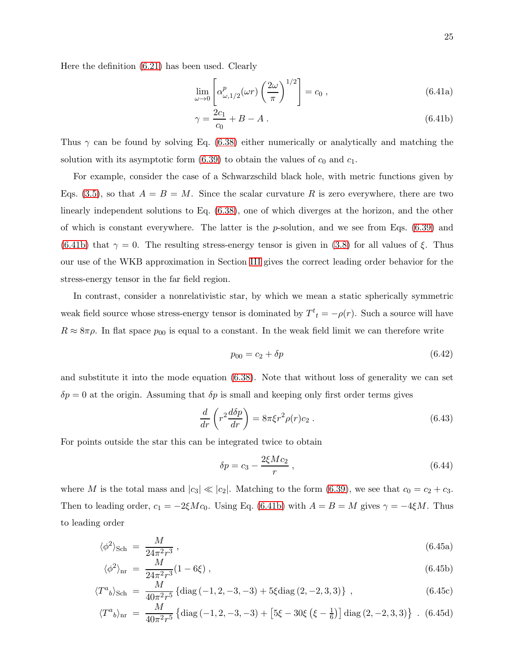<span id="page-24-0"></span>
$$
\lim_{\omega \to 0} \left[ \alpha_{\omega, 1/2}^p(\omega r) \left( \frac{2\omega}{\pi} \right)^{1/2} \right] = c_0 , \qquad (6.41a)
$$

$$
\gamma = \frac{2c_1}{c_0} + B - A \,. \tag{6.41b}
$$

Thus  $\gamma$  can be found by solving Eq. [\(6.38\)](#page-23-2) either numerically or analytically and matching the solution with its asymptotic form  $(6.39)$  to obtain the values of  $c_0$  and  $c_1$ .

For example, consider the case of a Schwarzschild black hole, with metric functions given by Eqs. [\(3.5\)](#page-6-1), so that  $A = B = M$ . Since the scalar curvature R is zero everywhere, there are two linearly independent solutions to Eq. [\(6.38\)](#page-23-2), one of which diverges at the horizon, and the other of which is constant everywhere. The latter is the  $p$ -solution, and we see from Eqs.  $(6.39)$  and [\(6.41b\)](#page-24-0) that  $\gamma = 0$ . The resulting stress-energy tensor is given in [\(3.8\)](#page-7-2) for all values of  $\xi$ . Thus our use of the WKB approximation in Section [III](#page-5-0) gives the correct leading order behavior for the stress-energy tensor in the far field region.

In contrast, consider a nonrelativistic star, by which we mean a static spherically symmetric weak field source whose stress-energy tensor is dominated by  $T^t{}_t = -\rho(r)$ . Such a source will have  $R \approx 8\pi\rho$ . In flat space  $p_{00}$  is equal to a constant. In the weak field limit we can therefore write

$$
p_{00} = c_2 + \delta p \tag{6.42}
$$

and substitute it into the mode equation [\(6.38\)](#page-23-2). Note that without loss of generality we can set  $\delta p = 0$  at the origin. Assuming that  $\delta p$  is small and keeping only first order terms gives

$$
\frac{d}{dr}\left(r^2\frac{d\delta p}{dr}\right) = 8\pi\xi r^2\rho(r)c_2\,. \tag{6.43}
$$

For points outside the star this can be integrated twice to obtain

$$
\delta p = c_3 - \frac{2\xi Mc_2}{r} \,,\tag{6.44}
$$

where M is the total mass and  $|c_3| \ll |c_2|$ . Matching to the form [\(6.39\)](#page-23-3), we see that  $c_0 = c_2 + c_3$ . Then to leading order,  $c_1 = -2\xi M c_0$ . Using Eq. [\(6.41b\)](#page-24-0) with  $A = B = M$  gives  $\gamma = -4\xi M$ . Thus to leading order

<span id="page-24-1"></span>
$$
\langle \phi^2 \rangle_{\text{Sch}} = \frac{M}{24\pi^2 r^3} \,, \tag{6.45a}
$$

$$
\langle \phi^2 \rangle_{\rm nr} = \frac{M}{24\pi^2 r^3} (1 - 6\xi) \,, \tag{6.45b}
$$

$$
\langle T^{a}{}_{b}\rangle_{\text{Sch}} = \frac{M}{40\pi^{2}r^{5}}\left\{\text{diag}\left(-1, 2, -3, -3\right) + 5\xi\text{diag}\left(2, -2, 3, 3\right)\right\} \,,\tag{6.45c}
$$

$$
\langle T^{a}{}_{b}\rangle_{\rm nr} = \frac{M}{40\pi^{2}r^{5}}\left\{\text{diag}\left(-1,2,-3,-3\right)+\left[5\xi-30\xi\left(\xi-\frac{1}{6}\right)\right]\text{diag}\left(2,-2,3,3\right)\right\} \ . \ (6.45d)
$$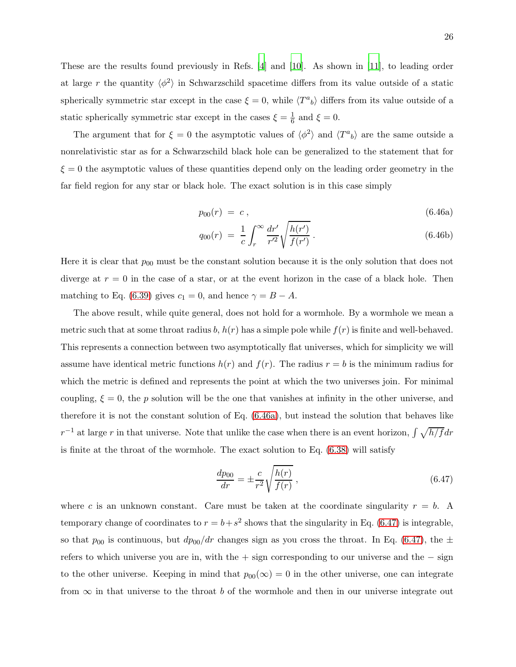These are the results found previously in Refs. [\[4\]](#page-42-2) and [\[10](#page-42-5)]. As shown in [\[11\]](#page-42-6), to leading order at large r the quantity  $\langle \phi^2 \rangle$  in Schwarzschild spacetime differs from its value outside of a static spherically symmetric star except in the case  $\xi = 0$ , while  $\langle T^a{}_b \rangle$  differs from its value outside of a static spherically symmetric star except in the cases  $\xi = \frac{1}{6}$  $\frac{1}{6}$  and  $\xi = 0$ .

The argument that for  $\xi = 0$  the asymptotic values of  $\langle \phi^2 \rangle$  and  $\langle T^a{}_b \rangle$  are the same outside a nonrelativistic star as for a Schwarzschild black hole can be generalized to the statement that for  $\xi = 0$  the asymptotic values of these quantities depend only on the leading order geometry in the far field region for any star or black hole. The exact solution is in this case simply

<span id="page-25-0"></span>
$$
p_{00}(r) = c \,, \tag{6.46a}
$$

$$
q_{00}(r) = \frac{1}{c} \int_{r}^{\infty} \frac{dr'}{r'^2} \sqrt{\frac{h(r')}{f(r')}}.
$$
\n(6.46b)

Here it is clear that  $p_{00}$  must be the constant solution because it is the only solution that does not diverge at  $r = 0$  in the case of a star, or at the event horizon in the case of a black hole. Then matching to Eq. [\(6.39\)](#page-23-3) gives  $c_1 = 0$ , and hence  $\gamma = B - A$ .

The above result, while quite general, does not hold for a wormhole. By a wormhole we mean a metric such that at some throat radius b,  $h(r)$  has a simple pole while  $f(r)$  is finite and well-behaved. This represents a connection between two asymptotically flat universes, which for simplicity we will assume have identical metric functions  $h(r)$  and  $f(r)$ . The radius  $r = b$  is the minimum radius for which the metric is defined and represents the point at which the two universes join. For minimal coupling,  $\xi = 0$ , the p solution will be the one that vanishes at infinity in the other universe, and therefore it is not the constant solution of Eq. [\(6.46a\)](#page-25-0), but instead the solution that behaves like  $r^{-1}$  at large r in that universe. Note that unlike the case when there is an event horizon,  $\int \sqrt{h/f} dr$ is finite at the throat of the wormhole. The exact solution to Eq.  $(6.38)$  will satisfy

<span id="page-25-1"></span>
$$
\frac{dp_{00}}{dr} = \pm \frac{c}{r^2} \sqrt{\frac{h(r)}{f(r)}},
$$
\n(6.47)

where c is an unknown constant. Care must be taken at the coordinate singularity  $r = b$ . A temporary change of coordinates to  $r = b + s^2$  shows that the singularity in Eq. [\(6.47\)](#page-25-1) is integrable, so that  $p_{00}$  is continuous, but  $dp_{00}/dr$  changes sign as you cross the throat. In Eq. [\(6.47\)](#page-25-1), the  $\pm$ refers to which universe you are in, with the + sign corresponding to our universe and the − sign to the other universe. Keeping in mind that  $p_{00}(\infty) = 0$  in the other universe, one can integrate from  $\infty$  in that universe to the throat b of the wormhole and then in our universe integrate out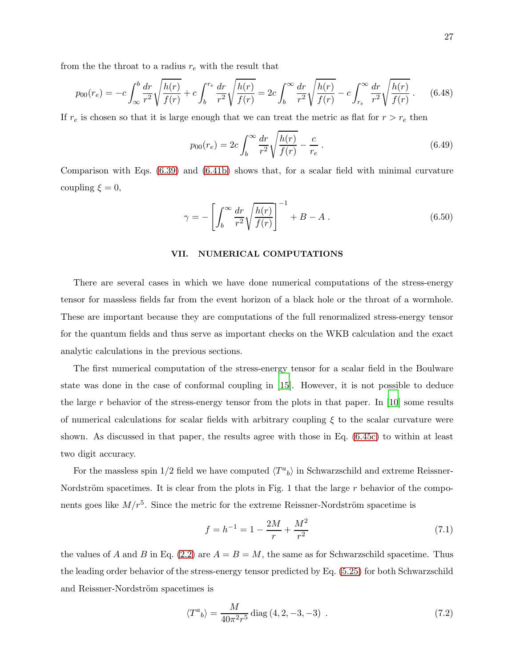from the th<br/>roat to a radius $r_e$  with the result that

$$
p_{00}(r_e) = -c \int_{\infty}^{b} \frac{dr}{r^2} \sqrt{\frac{h(r)}{f(r)}} + c \int_{b}^{r_e} \frac{dr}{r^2} \sqrt{\frac{h(r)}{f(r)}} = 2c \int_{b}^{\infty} \frac{dr}{r^2} \sqrt{\frac{h(r)}{f(r)}} - c \int_{r_e}^{\infty} \frac{dr}{r^2} \sqrt{\frac{h(r)}{f(r)}}.
$$
 (6.48)

If  $r_e$  is chosen so that it is large enough that we can treat the metric as flat for  $r > r_e$  then

$$
p_{00}(r_e) = 2c \int_b^{\infty} \frac{dr}{r^2} \sqrt{\frac{h(r)}{f(r)}} - \frac{c}{r_e} \,. \tag{6.49}
$$

Comparison with Eqs. [\(6.39\)](#page-23-3) and [\(6.41b\)](#page-24-0) shows that, for a scalar field with minimal curvature coupling  $\xi = 0$ ,

$$
\gamma = -\left[\int_b^\infty \frac{dr}{r^2} \sqrt{\frac{h(r)}{f(r)}}\right]^{-1} + B - A \,. \tag{6.50}
$$

#### <span id="page-26-0"></span>VII. NUMERICAL COMPUTATIONS

There are several cases in which we have done numerical computations of the stress-energy tensor for massless fields far from the event horizon of a black hole or the throat of a wormhole. These are important because they are computations of the full renormalized stress-energy tensor for the quantum fields and thus serve as important checks on the WKB calculation and the exact analytic calculations in the previous sections.

The first numerical computation of the stress-energy tensor for a scalar field in the Boulware state was done in the case of conformal coupling in [\[15](#page-42-12)]. However, it is not possible to deduce the large r behavior of the stress-energy tensor from the plots in that paper. In  $[10]$  some results of numerical calculations for scalar fields with arbitrary coupling  $\xi$  to the scalar curvature were shown. As discussed in that paper, the results agree with those in Eq. [\(6.45c\)](#page-24-1) to within at least two digit accuracy.

For the massless spin 1/2 field we have computed  $\langle T^a{}_b \rangle$  in Schwarzschild and extreme Reissner-Nordström spacetimes. It is clear from the plots in Fig. 1 that the large  $r$  behavior of the components goes like  $M/r^5$ . Since the metric for the extreme Reissner-Nordström spacetime is

$$
f = h^{-1} = 1 - \frac{2M}{r} + \frac{M^2}{r^2}
$$
\n
$$
(7.1)
$$

the values of A and B in Eq. [\(2.2\)](#page-3-2) are  $A = B = M$ , the same as for Schwarzschild spacetime. Thus the leading order behavior of the stress-energy tensor predicted by Eq. [\(5.25\)](#page-17-5) for both Schwarzschild and Reissner-Nordström spacetimes is

<span id="page-26-1"></span>
$$
\langle T^{a}{}_{b} \rangle = \frac{M}{40\pi^{2}r^{5}} \text{diag}(4, 2, -3, -3) \tag{7.2}
$$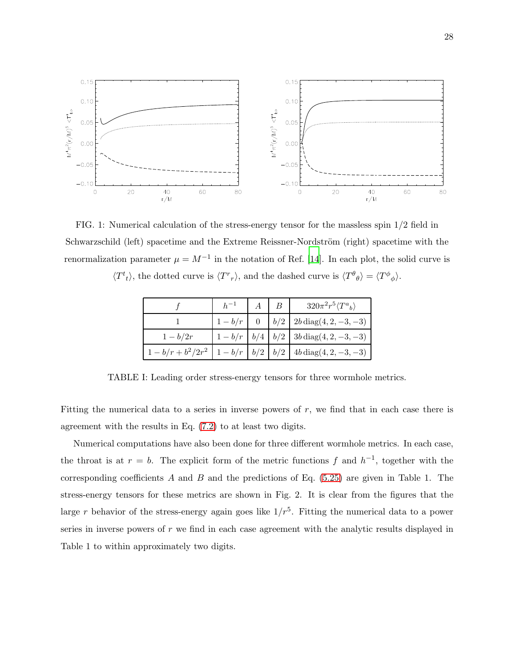

FIG. 1: Numerical calculation of the stress-energy tensor for the massless spin 1/2 field in Schwarzschild (left) spacetime and the Extreme Reissner-Nordström (right) spacetime with the renormalization parameter  $\mu = M^{-1}$  in the notation of Ref. [\[14\]](#page-42-10). In each plot, the solid curve is

 $\langle T^t{}_t \rangle$ , the dotted curve is  $\langle T^r{}_r \rangle$ , and the dashed curve is  $\langle T^{\theta}{}_{\theta} \rangle = \langle T^{\phi}{}_{\phi} \rangle$ .

|                   |  | $320\pi^2r^5\langle T^a{}_b\rangle$                              |
|-------------------|--|------------------------------------------------------------------|
|                   |  | $ b/2 $ 2b diag(4, 2, -3, -3)                                    |
| $1-b/2r$          |  | $1-b/r \mid b/4 \mid b/2 \mid 3b \operatorname{diag}(4,2,-3,-3)$ |
| $-b/r + b^2/2r^2$ |  | $1-b/r \mid b/2 \mid b/2 \mid 4b \operatorname{diag}(4,2,-3,-3)$ |

TABLE I: Leading order stress-energy tensors for three wormhole metrics.

Fitting the numerical data to a series in inverse powers of  $r$ , we find that in each case there is agreement with the results in Eq. [\(7.2\)](#page-26-1) to at least two digits.

Numerical computations have also been done for three different wormhole metrics. In each case, the throat is at  $r = b$ . The explicit form of the metric functions f and  $h^{-1}$ , together with the corresponding coefficients  $A$  and  $B$  and the predictions of Eq. [\(5.25\)](#page-17-5) are given in Table 1. The stress-energy tensors for these metrics are shown in Fig. 2. It is clear from the figures that the large r behavior of the stress-energy again goes like  $1/r<sup>5</sup>$ . Fitting the numerical data to a power series in inverse powers of r we find in each case agreement with the analytic results displayed in Table 1 to within approximately two digits.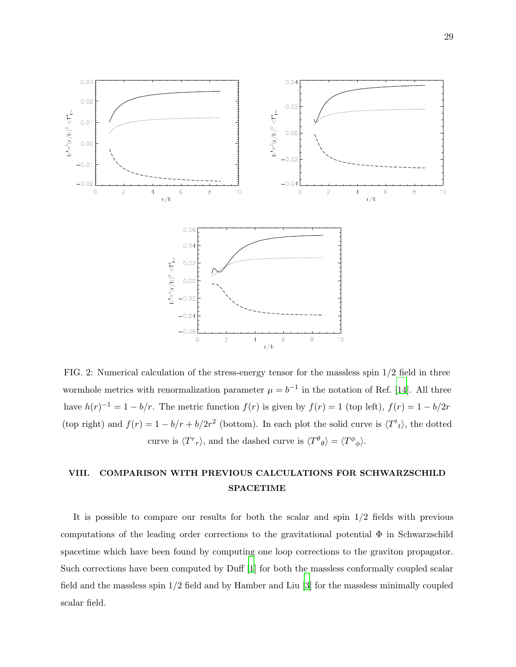

FIG. 2: Numerical calculation of the stress-energy tensor for the massless spin 1/2 field in three wormhole metrics with renormalization parameter  $\mu = b^{-1}$  in the notation of Ref. [\[14\]](#page-42-10). All three have  $h(r)^{-1} = 1 - b/r$ . The metric function  $f(r)$  is given by  $f(r) = 1$  (top left),  $f(r) = 1 - b/2r$ (top right) and  $f(r) = 1 - b/r + b/2r^2$  (bottom). In each plot the solid curve is  $\langle T^t{}_t \rangle$ , the dotted curve is  $\langle T^r{}_r \rangle$ , and the dashed curve is  $\langle T^{\theta}{}_{\theta} \rangle = \langle T^{\phi}{}_{\phi} \rangle$ .

# <span id="page-28-0"></span>VIII. COMPARISON WITH PREVIOUS CALCULATIONS FOR SCHWARZSCHILD SPACETIME

It is possible to compare our results for both the scalar and spin 1/2 fields with previous computations of the leading order corrections to the gravitational potential  $\Phi$  in Schwarzschild spacetime which have been found by computing one loop corrections to the graviton propagator. Such corrections have been computed by Duff [\[1](#page-42-0)] for both the massless conformally coupled scalar field and the massless spin 1/2 field and by Hamber and Liu [\[3](#page-42-13)] for the massless minimally coupled scalar field.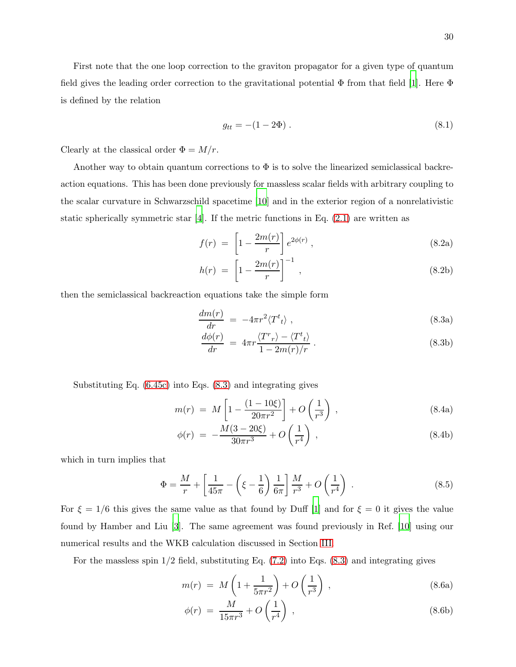First note that the one loop correction to the graviton propagator for a given type of quantum field gives the leading order correction to the gravitational potential  $\Phi$  from that field [\[1\]](#page-42-0). Here  $\Phi$ is defined by the relation

<span id="page-29-1"></span>
$$
g_{tt} = -(1 - 2\Phi) \,. \tag{8.1}
$$

Clearly at the classical order  $\Phi = M/r$ .

Another way to obtain quantum corrections to  $\Phi$  is to solve the linearized semiclassical backreaction equations. This has been done previously for massless scalar fields with arbitrary coupling to the scalar curvature in Schwarzschild spacetime [\[10\]](#page-42-5) and in the exterior region of a nonrelativistic static spherically symmetric star  $[4]$ . If the metric functions in Eq.  $(2.1)$  are written as

$$
f(r) = \left[1 - \frac{2m(r)}{r}\right] e^{2\phi(r)}, \qquad (8.2a)
$$

$$
h(r) = \left[1 - \frac{2m(r)}{r}\right]^{-1},\tag{8.2b}
$$

then the semiclassical backreaction equations take the simple form

<span id="page-29-0"></span>
$$
\frac{dm(r)}{dr} = -4\pi r^2 \langle T^t{}_t \rangle \tag{8.3a}
$$

$$
\frac{d\phi(r)}{dr} = 4\pi r \frac{\langle T^r r \rangle - \langle T^t t \rangle}{1 - 2m(r)/r} . \tag{8.3b}
$$

Substituting Eq. [\(6.45c\)](#page-24-1) into Eqs. [\(8.3\)](#page-29-0) and integrating gives

$$
m(r) = M \left[ 1 - \frac{(1 - 10\xi)}{20\pi r^2} \right] + O\left(\frac{1}{r^3}\right) ,\qquad (8.4a)
$$

$$
\phi(r) = -\frac{M(3 - 20\xi)}{30\pi r^3} + O\left(\frac{1}{r^4}\right) ,\qquad (8.4b)
$$

which in turn implies that

$$
\Phi = \frac{M}{r} + \left[ \frac{1}{45\pi} - \left( \xi - \frac{1}{6} \right) \frac{1}{6\pi} \right] \frac{M}{r^3} + O\left( \frac{1}{r^4} \right) . \tag{8.5}
$$

For  $\xi = 1/6$  this gives the same value as that found by Duff [\[1](#page-42-0)] and for  $\xi = 0$  it gives the value found by Hamber and Liu [\[3\]](#page-42-13). The same agreement was found previously in Ref. [\[10\]](#page-42-5) using our numerical results and the WKB calculation discussed in Section [III.](#page-5-0)

For the massless spin  $1/2$  field, substituting Eq.  $(7.2)$  into Eqs.  $(8.3)$  and integrating gives

$$
m(r) = M\left(1 + \frac{1}{5\pi r^2}\right) + O\left(\frac{1}{r^3}\right) ,\qquad (8.6a)
$$

$$
\phi(r) = \frac{M}{15\pi r^3} + O\left(\frac{1}{r^4}\right) \,,\tag{8.6b}
$$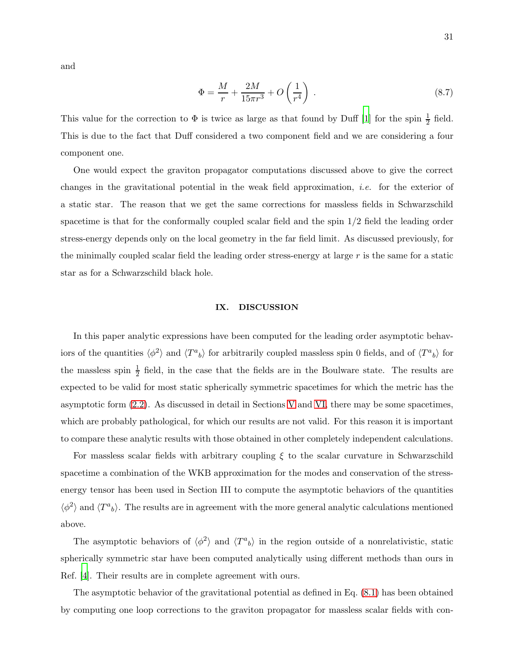$$
\Phi = \frac{M}{r} + \frac{2M}{15\pi r^3} + O\left(\frac{1}{r^4}\right) \,. \tag{8.7}
$$

This value for the correction to  $\Phi$  is twice as large as that found by Duff [\[1\]](#page-42-0) for the spin  $\frac{1}{2}$  field. This is due to the fact that Duff considered a two component field and we are considering a four component one.

One would expect the graviton propagator computations discussed above to give the correct changes in the gravitational potential in the weak field approximation, i.e. for the exterior of a static star. The reason that we get the same corrections for massless fields in Schwarzschild spacetime is that for the conformally coupled scalar field and the spin 1/2 field the leading order stress-energy depends only on the local geometry in the far field limit. As discussed previously, for the minimally coupled scalar field the leading order stress-energy at large  $r$  is the same for a static star as for a Schwarzschild black hole.

#### <span id="page-30-0"></span>IX. DISCUSSION

In this paper analytic expressions have been computed for the leading order asymptotic behaviors of the quantities  $\langle \phi^2 \rangle$  and  $\langle T^a{}_b \rangle$  for arbitrarily coupled massless spin 0 fields, and of  $\langle T^a{}_b \rangle$  for the massless spin  $\frac{1}{2}$  field, in the case that the fields are in the Boulware state. The results are expected to be valid for most static spherically symmetric spacetimes for which the metric has the asymptotic form [\(2.2\)](#page-3-2). As discussed in detail in Sections [V](#page-10-0) and [VI,](#page-17-0) there may be some spacetimes, which are probably pathological, for which our results are not valid. For this reason it is important to compare these analytic results with those obtained in other completely independent calculations.

For massless scalar fields with arbitrary coupling  $\xi$  to the scalar curvature in Schwarzschild spacetime a combination of the WKB approximation for the modes and conservation of the stressenergy tensor has been used in Section III to compute the asymptotic behaviors of the quantities  $\langle \phi^2 \rangle$  and  $\langle T^a{}_b \rangle$ . The results are in agreement with the more general analytic calculations mentioned above.

The asymptotic behaviors of  $\langle \phi^2 \rangle$  and  $\langle T^a{}_b \rangle$  in the region outside of a nonrelativistic, static spherically symmetric star have been computed analytically using different methods than ours in Ref. [\[4](#page-42-2)]. Their results are in complete agreement with ours.

The asymptotic behavior of the gravitational potential as defined in Eq. [\(8.1\)](#page-29-1) has been obtained by computing one loop corrections to the graviton propagator for massless scalar fields with con-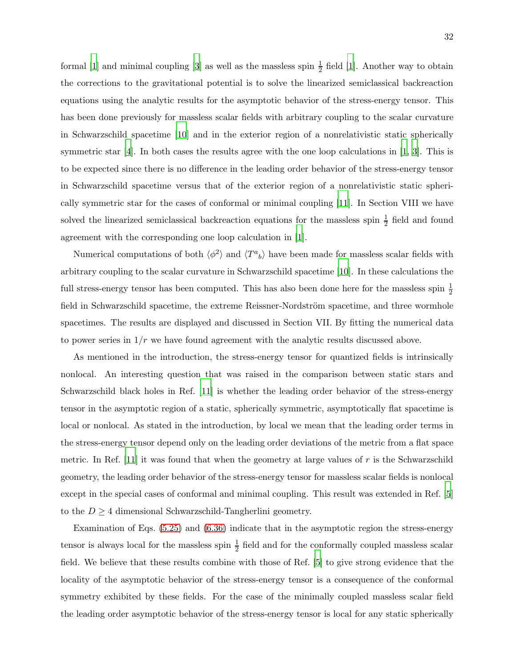formal [\[1\]](#page-42-0) and minimal coupling [\[3\]](#page-42-13) as well as the massless spin  $\frac{1}{2}$  field [\[1](#page-42-0)]. Another way to obtain the corrections to the gravitational potential is to solve the linearized semiclassical backreaction equations using the analytic results for the asymptotic behavior of the stress-energy tensor. This has been done previously for massless scalar fields with arbitrary coupling to the scalar curvature in Schwarzschild spacetime [\[10](#page-42-5)] and in the exterior region of a nonrelativistic static spherically symmetric star [\[4](#page-42-2)]. In both cases the results agree with the one loop calculations in [\[1,](#page-42-0) [3](#page-42-13)]. This is to be expected since there is no difference in the leading order behavior of the stress-energy tensor in Schwarzschild spacetime versus that of the exterior region of a nonrelativistic static spherically symmetric star for the cases of conformal or minimal coupling [\[11](#page-42-6)]. In Section VIII we have solved the linearized semiclassical backreaction equations for the massless spin  $\frac{1}{2}$  field and found agreement with the corresponding one loop calculation in [\[1](#page-42-0)].

Numerical computations of both  $\langle \phi^2 \rangle$  and  $\langle T^a{}_b \rangle$  have been made for massless scalar fields with arbitrary coupling to the scalar curvature in Schwarzschild spacetime [\[10\]](#page-42-5). In these calculations the full stress-energy tensor has been computed. This has also been done here for the massless spin  $\frac{1}{2}$ field in Schwarzschild spacetime, the extreme Reissner-Nordström spacetime, and three wormhole spacetimes. The results are displayed and discussed in Section VII. By fitting the numerical data to power series in  $1/r$  we have found agreement with the analytic results discussed above.

As mentioned in the introduction, the stress-energy tensor for quantized fields is intrinsically nonlocal. An interesting question that was raised in the comparison between static stars and Schwarzschild black holes in Ref. [\[11](#page-42-6)] is whether the leading order behavior of the stress-energy tensor in the asymptotic region of a static, spherically symmetric, asymptotically flat spacetime is local or nonlocal. As stated in the introduction, by local we mean that the leading order terms in the stress-energy tensor depend only on the leading order deviations of the metric from a flat space metric. In Ref. [\[11\]](#page-42-6) it was found that when the geometry at large values of  $r$  is the Schwarzschild geometry, the leading order behavior of the stress-energy tensor for massless scalar fields is nonlocal except in the special cases of conformal and minimal coupling. This result was extended in Ref. [\[5](#page-42-3)] to the  $D \geq 4$  dimensional Schwarzschild-Tangherlini geometry.

Examination of Eqs. [\(5.25\)](#page-17-5) and [\(6.36\)](#page-23-0) indicate that in the asymptotic region the stress-energy tensor is always local for the massless spin  $\frac{1}{2}$  field and for the conformally coupled massless scalar field. We believe that these results combine with those of Ref. [\[5](#page-42-3)] to give strong evidence that the locality of the asymptotic behavior of the stress-energy tensor is a consequence of the conformal symmetry exhibited by these fields. For the case of the minimally coupled massless scalar field the leading order asymptotic behavior of the stress-energy tensor is local for any static spherically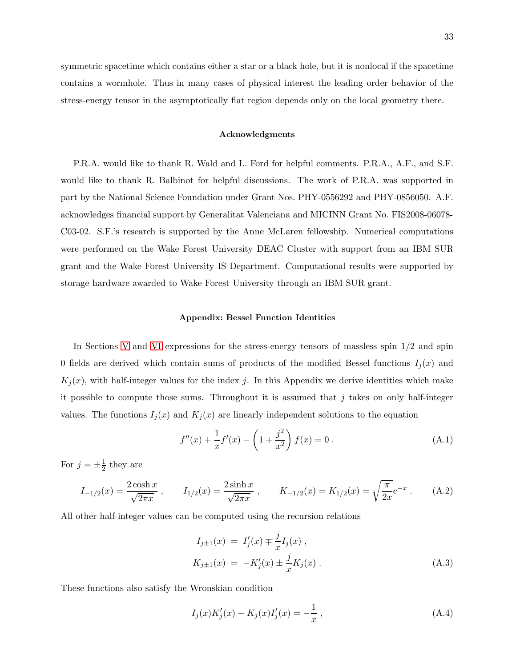symmetric spacetime which contains either a star or a black hole, but it is nonlocal if the spacetime contains a wormhole. Thus in many cases of physical interest the leading order behavior of the stress-energy tensor in the asymptotically flat region depends only on the local geometry there.

#### Acknowledgments

P.R.A. would like to thank R. Wald and L. Ford for helpful comments. P.R.A., A.F., and S.F. would like to thank R. Balbinot for helpful discussions. The work of P.R.A. was supported in part by the National Science Foundation under Grant Nos. PHY-0556292 and PHY-0856050. A.F. acknowledges financial support by Generalitat Valenciana and MICINN Grant No. FIS2008-06078- C03-02. S.F.'s research is supported by the Anne McLaren fellowship. Numerical computations were performed on the Wake Forest University DEAC Cluster with support from an IBM SUR grant and the Wake Forest University IS Department. Computational results were supported by storage hardware awarded to Wake Forest University through an IBM SUR grant.

#### <span id="page-32-0"></span>Appendix: Bessel Function Identities

In Sections [V](#page-10-0) and [VI](#page-17-0) expressions for the stress-energy tensors of massless spin 1/2 and spin 0 fields are derived which contain sums of products of the modified Bessel functions  $I_i(x)$  and  $K_i(x)$ , with half-integer values for the index j. In this Appendix we derive identities which make it possible to compute those sums. Throughout it is assumed that  $j$  takes on only half-integer values. The functions  $I_j(x)$  and  $K_j(x)$  are linearly independent solutions to the equation

<span id="page-32-2"></span>
$$
f''(x) + \frac{1}{x}f'(x) - \left(1 + \frac{j^2}{x^2}\right)f(x) = 0.
$$
 (A.1)

For  $j = \pm \frac{1}{2}$  they are

<span id="page-32-4"></span>
$$
I_{-1/2}(x) = \frac{2\cosh x}{\sqrt{2\pi x}}, \qquad I_{1/2}(x) = \frac{2\sinh x}{\sqrt{2\pi x}}, \qquad K_{-1/2}(x) = K_{1/2}(x) = \sqrt{\frac{\pi}{2x}}e^{-x}.
$$
 (A.2)

All other half-integer values can be computed using the recursion relations

<span id="page-32-1"></span>
$$
I_{j\pm 1}(x) = I'_{j}(x) \mp \frac{j}{x} I_{j}(x) ,
$$
  
\n
$$
K_{j\pm 1}(x) = -K'_{j}(x) \pm \frac{j}{x} K_{j}(x) .
$$
\n(A.3)

These functions also satisfy the Wronskian condition

<span id="page-32-3"></span>
$$
I_j(x)K'_j(x) - K_j(x)I'_j(x) = -\frac{1}{x},
$$
\n(A.4)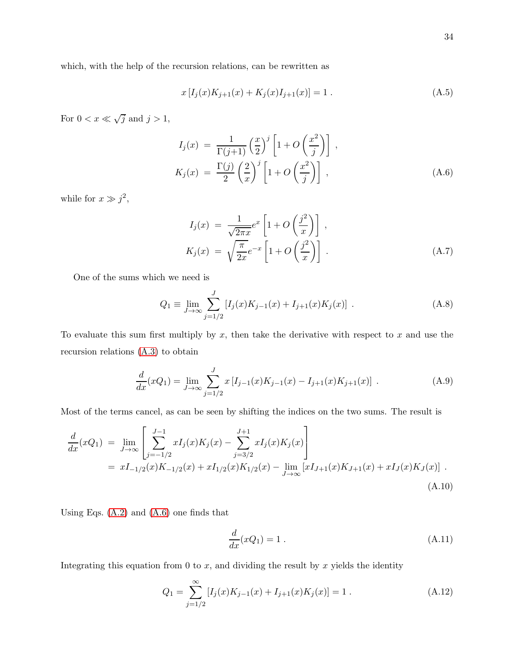which, with the help of the recursion relations, can be rewritten as

<span id="page-33-0"></span>
$$
x[I_j(x)K_{j+1}(x) + K_j(x)I_{j+1}(x)] = 1.
$$
\n(A.5)

For  $0 < x \ll \sqrt{j}$  and  $j > 1$ ,

<span id="page-33-1"></span>
$$
I_j(x) = \frac{1}{\Gamma(j+1)} \left(\frac{x}{2}\right)^j \left[1 + O\left(\frac{x^2}{j}\right)\right],
$$
  
\n
$$
K_j(x) = \frac{\Gamma(j)}{2} \left(\frac{2}{x}\right)^j \left[1 + O\left(\frac{x^2}{j}\right)\right],
$$
\n(A.6)

while for  $x \gg j^2$ ,

$$
I_j(x) = \frac{1}{\sqrt{2\pi x}} e^x \left[ 1 + O\left(\frac{j^2}{x}\right) \right],
$$
  
\n
$$
K_j(x) = \sqrt{\frac{\pi}{2x}} e^{-x} \left[ 1 + O\left(\frac{j^2}{x}\right) \right].
$$
\n(A.7)

One of the sums which we need is

$$
Q_1 \equiv \lim_{J \to \infty} \sum_{j=1/2}^{J} \left[ I_j(x) K_{j-1}(x) + I_{j+1}(x) K_j(x) \right] . \tag{A.8}
$$

To evaluate this sum first multiply by  $x$ , then take the derivative with respect to  $x$  and use the recursion relations [\(A.3\)](#page-32-1) to obtain

$$
\frac{d}{dx}(xQ_1) = \lim_{J \to \infty} \sum_{j=1/2}^{J} x \left[ I_{j-1}(x)K_{j-1}(x) - I_{j+1}(x)K_{j+1}(x) \right] \,. \tag{A.9}
$$

Most of the terms cancel, as can be seen by shifting the indices on the two sums. The result is

$$
\frac{d}{dx}(xQ_1) = \lim_{J \to \infty} \left[ \sum_{j=-1/2}^{J-1} xI_j(x)K_j(x) - \sum_{j=3/2}^{J+1} xI_j(x)K_j(x) \right]
$$
  
\n=  $xI_{-1/2}(x)K_{-1/2}(x) + xI_{1/2}(x)K_{1/2}(x) - \lim_{J \to \infty} [xI_{J+1}(x)K_{J+1}(x) + xI_J(x)K_J(x)]$  (A.10)

Using Eqs.  $(A.2)$  and  $(A.6)$  one finds that

$$
\frac{d}{dx}(xQ_1) = 1.
$$
\n(A.11)

Integrating this equation from 0 to  $x$ , and dividing the result by  $x$  yields the identity

<span id="page-33-2"></span>
$$
Q_1 = \sum_{j=1/2}^{\infty} [I_j(x)K_{j-1}(x) + I_{j+1}(x)K_j(x)] = 1.
$$
 (A.12)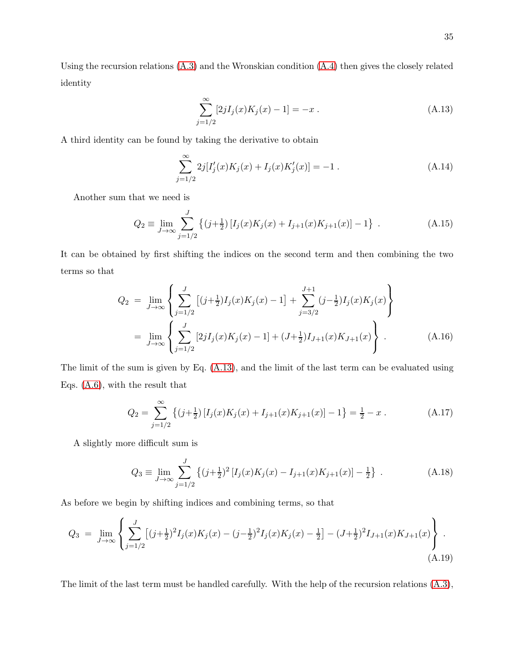Using the recursion relations  $(A.3)$  and the Wronskian condition  $(A.4)$  then gives the closely related identity

<span id="page-34-1"></span>
$$
\sum_{j=1/2}^{\infty} [2jI_j(x)K_j(x) - 1] = -x.
$$
\n(A.13)

A third identity can be found by taking the derivative to obtain

<span id="page-34-2"></span>
$$
\sum_{j=1/2}^{\infty} 2j[I'_j(x)K_j(x) + I_j(x)K'_j(x)] = -1.
$$
\n(A.14)

Another sum that we need is

$$
Q_2 \equiv \lim_{J \to \infty} \sum_{j=1/2}^{J} \left\{ (j + \frac{1}{2}) \left[ I_j(x) K_j(x) + I_{j+1}(x) K_{j+1}(x) \right] - 1 \right\} . \tag{A.15}
$$

It can be obtained by first shifting the indices on the second term and then combining the two terms so that

$$
Q_2 = \lim_{J \to \infty} \left\{ \sum_{j=1/2}^{J} \left[ (j + \frac{1}{2}) I_j(x) K_j(x) - 1 \right] + \sum_{j=3/2}^{J+1} (j - \frac{1}{2}) I_j(x) K_j(x) \right\}
$$
  
= 
$$
\lim_{J \to \infty} \left\{ \sum_{j=1/2}^{J} \left[ 2j I_j(x) K_j(x) - 1 \right] + (J + \frac{1}{2}) I_{J+1}(x) K_{J+1}(x) \right\}.
$$
 (A.16)

The limit of the sum is given by Eq. [\(A.13\)](#page-34-1), and the limit of the last term can be evaluated using Eqs. [\(A.6\)](#page-33-1), with the result that

<span id="page-34-0"></span>
$$
Q_2 = \sum_{j=1/2}^{\infty} \left\{ (j + \frac{1}{2}) \left[ I_j(x) K_j(x) + I_{j+1}(x) K_{j+1}(x) \right] - 1 \right\} = \frac{1}{2} - x . \tag{A.17}
$$

A slightly more difficult sum is

$$
Q_3 \equiv \lim_{J \to \infty} \sum_{j=1/2}^{J} \left\{ (j + \frac{1}{2})^2 \left[ I_j(x) K_j(x) - I_{j+1}(x) K_{j+1}(x) \right] - \frac{1}{2} \right\} \,. \tag{A.18}
$$

As before we begin by shifting indices and combining terms, so that

<span id="page-34-3"></span>
$$
Q_3 = \lim_{J \to \infty} \left\{ \sum_{j=1/2}^{J} \left[ (j + \frac{1}{2})^2 I_j(x) K_j(x) - (j - \frac{1}{2})^2 I_j(x) K_j(x) - \frac{1}{2} \right] - (J + \frac{1}{2})^2 I_{J+1}(x) K_{J+1}(x) \right\}.
$$
\n(A.19)

The limit of the last term must be handled carefully. With the help of the recursion relations [\(A.3\)](#page-32-1),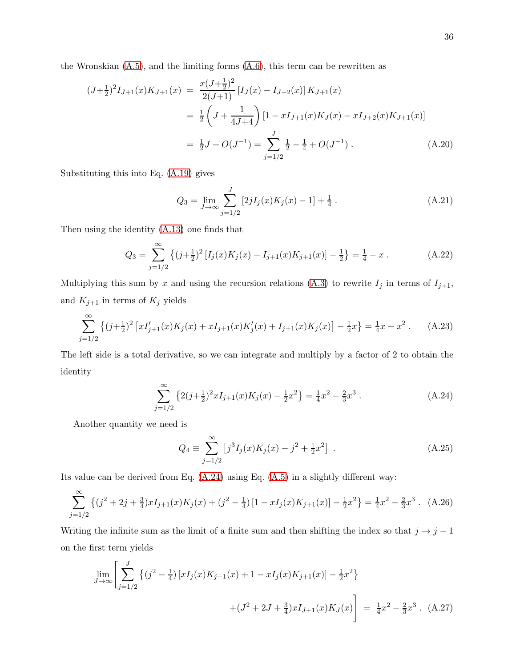the Wronskian  $(A.5)$ , and the limiting forms  $(A.6)$ , this term can be rewritten as

$$
(J+\frac{1}{2})^2 I_{J+1}(x) K_{J+1}(x) = \frac{x(J+\frac{1}{2})^2}{2(J+1)} [I_J(x) - I_{J+2}(x)] K_{J+1}(x)
$$
  

$$
= \frac{1}{2} \left( J + \frac{1}{4J+4} \right) [1 - xI_{J+1}(x) K_J(x) - xI_{J+2}(x) K_{J+1}(x)]
$$
  

$$
= \frac{1}{2} J + O(J^{-1}) = \sum_{j=1/2}^{J} \frac{1}{2} - \frac{1}{4} + O(J^{-1}).
$$
 (A.20)

Substituting this into Eq. [\(A.19\)](#page-34-3) gives

$$
Q_3 = \lim_{J \to \infty} \sum_{j=1/2}^{J} [2jI_j(x)K_j(x) - 1] + \frac{1}{4}.
$$
 (A.21)

Then using the identity [\(A.13\)](#page-34-1) one finds that

<span id="page-35-0"></span>
$$
Q_3 = \sum_{j=1/2}^{\infty} \left\{ (j+\frac{1}{2})^2 \left[ I_j(x) K_j(x) - I_{j+1}(x) K_{j+1}(x) \right] - \frac{1}{2} \right\} = \frac{1}{4} - x \,. \tag{A.22}
$$

Multiplying this sum by x and using the recursion relations [\(A.3\)](#page-32-1) to rewrite  $I_j$  in terms of  $I_{j+1}$ , and  $K_{j+1}$  in terms of  $K_j$  yields

$$
\sum_{j=1/2}^{\infty} \left\{ (j+\frac{1}{2})^2 \left[ xI'_{j+1}(x)K_j(x) + xI_{j+1}(x)K'_j(x) + I_{j+1}(x)K_j(x) \right] - \frac{1}{2}x \right\} = \frac{1}{4}x - x^2.
$$
 (A.23)

The left side is a total derivative, so we can integrate and multiply by a factor of 2 to obtain the identity

<span id="page-35-1"></span>
$$
\sum_{j=1/2}^{\infty} \left\{ 2(j+\frac{1}{2})^2 x I_{j+1}(x) K_j(x) - \frac{1}{2} x^2 \right\} = \frac{1}{4} x^2 - \frac{2}{3} x^3 . \tag{A.24}
$$

Another quantity we need is

$$
Q_4 \equiv \sum_{j=1/2}^{\infty} \left[ j^3 I_j(x) K_j(x) - j^2 + \frac{1}{2} x^2 \right] . \tag{A.25}
$$

Its value can be derived from Eq. [\(A.24\)](#page-35-1) using Eq. [\(A.5\)](#page-33-0) in a slightly different way:

$$
\sum_{j=1/2}^{\infty} \left\{ (j^2 + 2j + \frac{3}{4}) x I_{j+1}(x) K_j(x) + (j^2 - \frac{1}{4}) \left[ 1 - x I_j(x) K_{j+1}(x) \right] - \frac{1}{2} x^2 \right\} = \frac{1}{4} x^2 - \frac{2}{3} x^3 \,. \tag{A.26}
$$

Writing the infinite sum as the limit of a finite sum and then shifting the index so that  $j \rightarrow j - 1$ on the first term yields

$$
\lim_{J \to \infty} \left[ \sum_{j=1/2}^{J} \left\{ (j^2 - \frac{1}{4}) \left[ x I_j(x) K_{j-1}(x) + 1 - x I_j(x) K_{j+1}(x) \right] - \frac{1}{2} x^2 \right\} + (J^2 + 2J + \frac{3}{4}) x I_{J+1}(x) K_J(x) \right] = \frac{1}{4} x^2 - \frac{2}{3} x^3
$$
 (A.27)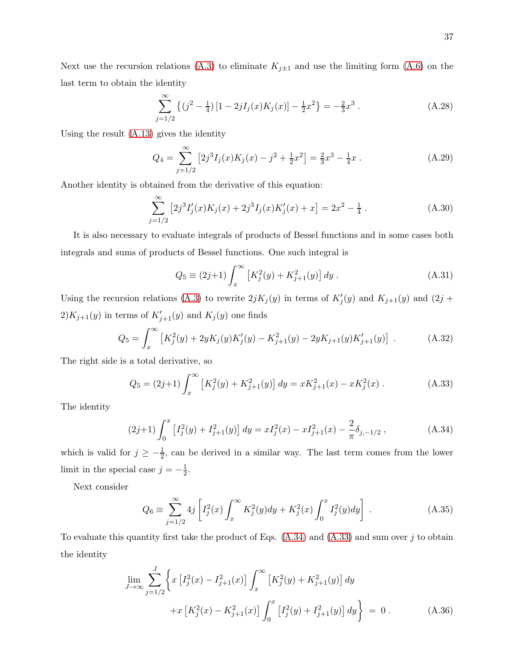Next use the recursion relations [\(A.3\)](#page-32-1) to eliminate  $K_{j\pm 1}$  and use the limiting form [\(A.6\)](#page-33-1) on the last term to obtain the identity

$$
\sum_{j=1/2}^{\infty} \left\{ (j^2 - \frac{1}{4}) \left[ 1 - 2jI_j(x)K_j(x) \right] - \frac{1}{2}x^2 \right\} = -\frac{2}{3}x^3.
$$
 (A.28)

Using the result [\(A.13\)](#page-34-1) gives the identity

<span id="page-36-0"></span>
$$
Q_4 = \sum_{j=1/2}^{\infty} \left[ 2j^3 I_j(x) K_j(x) - j^2 + \frac{1}{2} x^2 \right] = \frac{2}{3} x^3 - \frac{1}{4} x . \tag{A.29}
$$

Another identity is obtained from the derivative of this equation:

<span id="page-36-1"></span>
$$
\sum_{j=1/2}^{\infty} \left[ 2j^3 I'_j(x) K_j(x) + 2j^3 I_j(x) K'_j(x) + x \right] = 2x^2 - \frac{1}{4} \,. \tag{A.30}
$$

It is also necessary to evaluate integrals of products of Bessel functions and in some cases both integrals and sums of products of Bessel functions. One such integral is

$$
Q_5 \equiv (2j+1) \int_x^{\infty} \left[ K_j^2(y) + K_{j+1}^2(y) \right] dy . \tag{A.31}
$$

Using the recursion relations [\(A.3\)](#page-32-1) to rewrite  $2jK_j(y)$  in terms of  $K'_j(y)$  and  $K_{j+1}(y)$  and  $(2j +$  $2)K_{j+1}(y)$  in terms of  $K'_{j+1}(y)$  and  $K_j(y)$  one finds

$$
Q_5 = \int_x^{\infty} \left[ K_j^2(y) + 2yK_j(y)K_j'(y) - K_{j+1}^2(y) - 2yK_{j+1}(y)K_{j+1}'(y) \right] . \tag{A.32}
$$

The right side is a total derivative, so

<span id="page-36-3"></span>
$$
Q_5 = (2j+1) \int_x^{\infty} \left[ K_j^2(y) + K_{j+1}^2(y) \right] dy = x K_{j+1}^2(x) - x K_j^2(x) . \tag{A.33}
$$

The identity

<span id="page-36-2"></span>
$$
(2j+1)\int_0^x \left[I_j^2(y) + I_{j+1}^2(y)\right] dy = xI_j^2(x) - xI_{j+1}^2(x) - \frac{2}{\pi}\delta_{j,-1/2} ,\qquad (A.34)
$$

which is valid for  $j \geq -\frac{1}{2}$ , can be derived in a similar way. The last term comes from the lower limit in the special case  $j = -\frac{1}{2}$  $\frac{1}{2}$ .

Next consider

$$
Q_6 \equiv \sum_{j=1/2}^{\infty} 4j \left[ I_j^2(x) \int_x^{\infty} K_j^2(y) dy + K_j^2(x) \int_0^x I_j^2(y) dy \right].
$$
 (A.35)

To evaluate this quantity first take the product of Eqs.  $(A.34)$  and  $(A.33)$  and sum over j to obtain the identity

$$
\lim_{J \to \infty} \sum_{j=1/2}^{J} \left\{ x \left[ I_j^2(x) - I_{j+1}^2(x) \right] \int_x^{\infty} \left[ K_j^2(y) + K_{j+1}^2(y) \right] dy + x \left[ K_j^2(x) - K_{j+1}^2(x) \right] \int_0^x \left[ I_j^2(y) + I_{j+1}^2(y) \right] dy \right\} = 0.
$$
\n(A.36)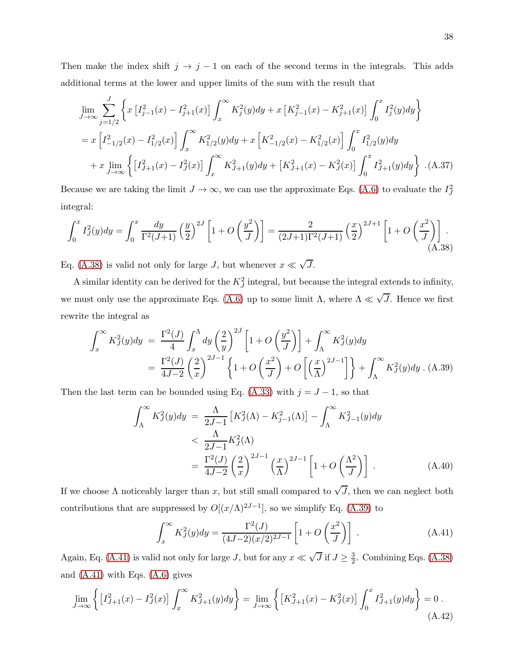Then make the index shift  $j \to j - 1$  on each of the second terms in the integrals. This adds additional terms at the lower and upper limits of the sum with the result that

<span id="page-37-3"></span>
$$
\lim_{J \to \infty} \sum_{j=1/2}^{J} \left\{ x \left[ I_{j-1}^2(x) - I_{j+1}^2(x) \right] \int_x^{\infty} K_j^2(y) dy + x \left[ K_{j-1}^2(x) - K_{j+1}^2(x) \right] \int_0^x I_j^2(y) dy \right\}
$$
\n
$$
= x \left[ I_{-1/2}^2(x) - I_{1/2}^2(x) \right] \int_x^{\infty} K_{1/2}^2(y) dy + x \left[ K_{-1/2}^2(x) - K_{1/2}^2(x) \right] \int_0^x I_{1/2}^2(y) dy
$$
\n
$$
+ x \lim_{J \to \infty} \left\{ \left[ I_{J+1}^2(x) - I_J^2(x) \right] \int_x^{\infty} K_{J+1}^2(y) dy + \left[ K_{J+1}^2(x) - K_J^2(x) \right] \int_0^x I_{J+1}^2(y) dy \right\} . (A.37)
$$

Because we are taking the limit  $J \to \infty$ , we can use the approximate Eqs. [\(A.6\)](#page-33-1) to evaluate the  $I_J^2$ integral:

<span id="page-37-0"></span>
$$
\int_0^x I_J^2(y) dy = \int_0^x \frac{dy}{\Gamma^2(J+1)} \left(\frac{y}{2}\right)^{2J} \left[1 + O\left(\frac{y^2}{J}\right)\right] = \frac{2}{(2J+1)\Gamma^2(J+1)} \left(\frac{x}{2}\right)^{2J+1} \left[1 + O\left(\frac{x^2}{J}\right)\right].
$$
\n(A.38)

Eq. [\(A.38\)](#page-37-0) is valid not only for large J, but whenever  $x \ll \sqrt{J}$ .

A similar identity can be derived for the  $K_J^2$  integral, but because the integral extends to infinity, we must only use the approximate Eqs. [\(A.6\)](#page-33-1) up to some limit  $\Lambda$ , where  $\Lambda \ll \sqrt{J}$ . Hence we first rewrite the integral as

<span id="page-37-1"></span>
$$
\int_x^{\infty} K_J^2(y) dy = \frac{\Gamma^2(J)}{4} \int_x^{\Lambda} dy \left(\frac{2}{y}\right)^{2J} \left[1 + O\left(\frac{y^2}{J}\right)\right] + \int_{\Lambda}^{\infty} K_J^2(y) dy
$$

$$
= \frac{\Gamma^2(J)}{4J - 2} \left(\frac{2}{x}\right)^{2J - 1} \left\{1 + O\left(\frac{x^2}{J}\right) + O\left[\left(\frac{x}{\Lambda}\right)^{2J - 1}\right]\right\} + \int_{\Lambda}^{\infty} K_J^2(y) dy. \tag{A.39}
$$

Then the last term can be bounded using Eq. [\(A.33\)](#page-36-3) with  $j = J - 1$ , so that

$$
\int_{\Lambda}^{\infty} K_J^2(y) dy = \frac{\Lambda}{2J-1} \left[ K_J^2(\Lambda) - K_{J-1}^2(\Lambda) \right] - \int_{\Lambda}^{\infty} K_{J-1}^2(y) dy
$$
  

$$
< \frac{\Lambda}{2J-1} K_J^2(\Lambda)
$$
  

$$
= \frac{\Gamma^2(J)}{4J-2} \left(\frac{2}{x}\right)^{2J-1} \left(\frac{x}{\Lambda}\right)^{2J-1} \left[1 + O\left(\frac{\Lambda^2}{J}\right)\right]. \tag{A.40}
$$

If we choose  $\Lambda$  noticeably larger than x, but still small compared to  $\sqrt{J}$ , then we can neglect both contributions that are suppressed by  $O[(x/\Lambda)^{2J-1}]$ , so we simplify Eq. [\(A.39\)](#page-37-1) to

<span id="page-37-2"></span>
$$
\int_{x}^{\infty} K_{J}^{2}(y) dy = \frac{\Gamma^{2}(J)}{(4J - 2)(x/2)^{2J - 1}} \left[ 1 + O\left(\frac{x^{2}}{J}\right) \right] .
$$
 (A.41)

Again, Eq. [\(A.41\)](#page-37-2) is valid not only for large J, but for any  $x \ll \sqrt{J}$  if  $J \ge \frac{3}{2}$  $\frac{3}{2}$ . Combining Eqs. [\(A.38\)](#page-37-0) and  $(A.41)$  with Eqs.  $(A.6)$  gives

$$
\lim_{J \to \infty} \left\{ \left[ I_{J+1}^2(x) - I_J^2(x) \right] \int_x^\infty K_{J+1}^2(y) dy \right\} = \lim_{J \to \infty} \left\{ \left[ K_{J+1}^2(x) - K_J^2(x) \right] \int_0^x I_{J+1}^2(y) dy \right\} = 0.
$$
\n(A.42)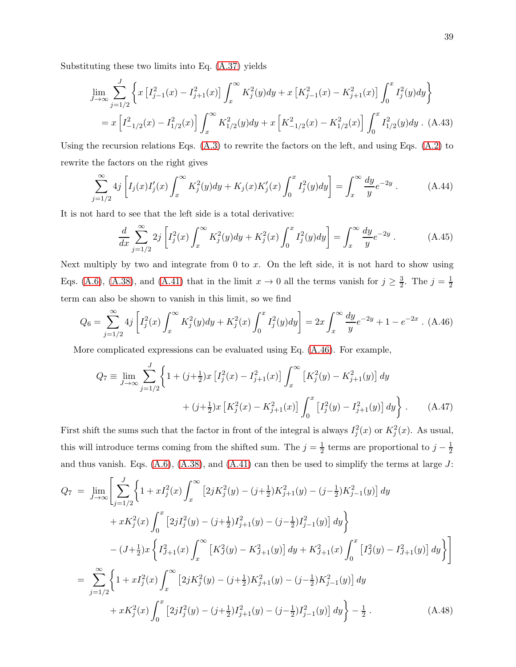Substituting these two limits into Eq. [\(A.37\)](#page-37-3) yields

$$
\lim_{J \to \infty} \sum_{j=1/2}^{J} \left\{ x \left[ I_{j-1}^2(x) - I_{j+1}^2(x) \right] \int_x^{\infty} K_j^2(y) dy + x \left[ K_{j-1}^2(x) - K_{j+1}^2(x) \right] \int_0^x I_j^2(y) dy \right\}
$$
  
=  $x \left[ I_{-1/2}^2(x) - I_{1/2}^2(x) \right] \int_x^{\infty} K_{1/2}^2(y) dy + x \left[ K_{-1/2}^2(x) - K_{1/2}^2(x) \right] \int_0^x I_{1/2}^2(y) dy$ . (A.43)

Using the recursion relations Eqs.  $(A.3)$  to rewrite the factors on the left, and using Eqs.  $(A.2)$  to rewrite the factors on the right gives

<span id="page-38-1"></span>
$$
\sum_{j=1/2}^{\infty} 4j \left[ I_j(x)I'_j(x) \int_x^{\infty} K_j^2(y) dy + K_j(x)K'_j(x) \int_0^x I_j^2(y) dy \right] = \int_x^{\infty} \frac{dy}{y} e^{-2y} . \tag{A.44}
$$

It is not hard to see that the left side is a total derivative:

$$
\frac{d}{dx} \sum_{j=1/2}^{\infty} 2j \left[ I_j^2(x) \int_x^{\infty} K_j^2(y) dy + K_j^2(x) \int_0^x I_j^2(y) dy \right] = \int_x^{\infty} \frac{dy}{y} e^{-2y} . \tag{A.45}
$$

Next multiply by two and integrate from  $0$  to  $x$ . On the left side, it is not hard to show using Eqs. [\(A.6\)](#page-33-1), [\(A.38\)](#page-37-0), and [\(A.41\)](#page-37-2) that in the limit  $x \to 0$  all the terms vanish for  $j \geq \frac{3}{2}$  $\frac{3}{2}$ . The  $j = \frac{1}{2}$ 2 term can also be shown to vanish in this limit, so we find

<span id="page-38-0"></span>
$$
Q_6 = \sum_{j=1/2}^{\infty} 4j \left[ I_j^2(x) \int_x^{\infty} K_j^2(y) dy + K_j^2(x) \int_0^x I_j^2(y) dy \right] = 2x \int_x^{\infty} \frac{dy}{y} e^{-2y} + 1 - e^{-2x} \quad (A.46)
$$

More complicated expressions can be evaluated using Eq. [\(A.46\)](#page-38-0). For example,

$$
Q_7 \equiv \lim_{J \to \infty} \sum_{j=1/2}^{J} \left\{ 1 + (j + \frac{1}{2})x \left[ I_j^2(x) - I_{j+1}^2(x) \right] \int_x^\infty \left[ K_j^2(y) - K_{j+1}^2(y) \right] dy + (j + \frac{1}{2})x \left[ K_j^2(x) - K_{j+1}^2(x) \right] \int_0^x \left[ I_j^2(y) - I_{j+1}^2(y) \right] dy \right\}.
$$
 (A.47)

First shift the sums such that the factor in front of the integral is always  $I_j^2(x)$  or  $K_j^2(x)$ . As usual, this will introduce terms coming from the shifted sum. The  $j=\frac{1}{2}$  $\frac{1}{2}$  terms are proportional to  $j-\frac{1}{2}$ 2 and thus vanish. Eqs.  $(A.6)$ ,  $(A.38)$ , and  $(A.41)$  can then be used to simplify the terms at large J:

$$
Q_{7} = \lim_{J \to \infty} \left[ \sum_{j=1/2}^{J} \left\{ 1 + x I_{j}^{2}(x) \int_{x}^{\infty} \left[ 2j K_{j}^{2}(y) - (j + \frac{1}{2}) K_{j+1}^{2}(y) - (j - \frac{1}{2}) K_{j-1}^{2}(y) \right] dy \right. \\ + x K_{j}^{2}(x) \int_{0}^{x} \left[ 2j I_{j}^{2}(y) - (j + \frac{1}{2}) I_{j+1}^{2}(y) - (j - \frac{1}{2}) I_{j-1}^{2}(y) \right] dy \Big\} \\ - (J + \frac{1}{2}) x \left\{ I_{J+1}^{2}(x) \int_{x}^{\infty} \left[ K_{J}^{2}(y) - K_{J+1}^{2}(y) \right] dy + K_{J+1}^{2}(x) \int_{0}^{x} \left[ I_{J}^{2}(y) - I_{J+1}^{2}(y) \right] dy \right\} \Big]
$$
  

$$
= \sum_{j=1/2}^{\infty} \left\{ 1 + x I_{j}^{2}(x) \int_{x}^{\infty} \left[ 2j K_{j}^{2}(y) - (j + \frac{1}{2}) K_{j+1}^{2}(y) - (j - \frac{1}{2}) K_{j-1}^{2}(y) \right] dy + x K_{j}^{2}(x) \int_{0}^{x} \left[ 2j I_{j}^{2}(y) - (j + \frac{1}{2}) I_{j+1}^{2}(y) - (j - \frac{1}{2}) I_{j-1}^{2}(y) \right] dy \right\} - \frac{1}{2} .
$$
 (A.48)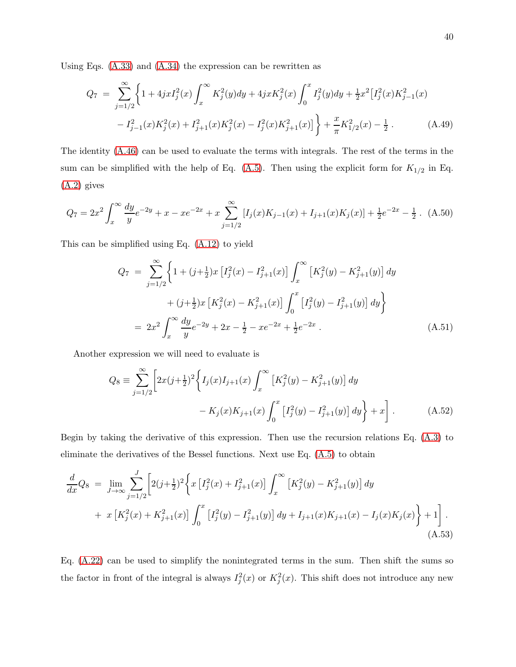Using Eqs. [\(A.33\)](#page-36-3) and [\(A.34\)](#page-36-2) the expression can be rewritten as

$$
Q_7 = \sum_{j=1/2}^{\infty} \left\{ 1 + 4jxI_j^2(x) \int_x^{\infty} K_j^2(y)dy + 4jxK_j^2(x) \int_0^x I_j^2(y)dy + \frac{1}{2}x^2 \left[ I_j^2(x)K_{j-1}^2(x) - I_{j-1}^2(x)K_j^2(x) + I_{j+1}^2(x)K_j^2(x) - I_j^2(x)K_{j+1}^2(x) \right] \right\} + \frac{x}{\pi} K_{1/2}^2(x) - \frac{1}{2}.
$$
 (A.49)

The identity [\(A.46\)](#page-38-0) can be used to evaluate the terms with integrals. The rest of the terms in the sum can be simplified with the help of Eq.  $(A.5)$ . Then using the explicit form for  $K_{1/2}$  in Eq. [\(A.2\)](#page-32-4) gives

$$
Q_7 = 2x^2 \int_x^{\infty} \frac{dy}{y} e^{-2y} + x - xe^{-2x} + x \sum_{j=1/2}^{\infty} [I_j(x)K_{j-1}(x) + I_{j+1}(x)K_j(x)] + \frac{1}{2}e^{-2x} - \frac{1}{2}.
$$
 (A.50)

This can be simplified using Eq. [\(A.12\)](#page-33-2) to yield

<span id="page-39-0"></span>
$$
Q_7 = \sum_{j=1/2}^{\infty} \left\{ 1 + (j + \frac{1}{2})x \left[ I_j^2(x) - I_{j+1}^2(x) \right] \int_x^{\infty} \left[ K_j^2(y) - K_{j+1}^2(y) \right] dy \right\}
$$
  
+  $(j + \frac{1}{2})x \left[ K_j^2(x) - K_{j+1}^2(x) \right] \int_0^x \left[ I_j^2(y) - I_{j+1}^2(y) \right] dy \right\}$   
=  $2x^2 \int_x^{\infty} \frac{dy}{y} e^{-2y} + 2x - \frac{1}{2} - xe^{-2x} + \frac{1}{2} e^{-2x}$ . (A.51)

Another expression we will need to evaluate is

$$
Q_8 \equiv \sum_{j=1/2}^{\infty} \left[ 2x(j+\frac{1}{2})^2 \left\{ I_j(x)I_{j+1}(x) \int_x^{\infty} \left[ K_j^2(y) - K_{j+1}^2(y) \right] dy - K_j(x)K_{j+1}(x) \int_0^x \left[ I_j^2(y) - I_{j+1}^2(y) \right] dy \right\} + x \right].
$$
 (A.52)

Begin by taking the derivative of this expression. Then use the recursion relations Eq. [\(A.3\)](#page-32-1) to eliminate the derivatives of the Bessel functions. Next use Eq. [\(A.5\)](#page-33-0) to obtain

$$
\frac{d}{dx}Q_8 = \lim_{J \to \infty} \sum_{j=1/2}^{J} \left[ 2(j+\frac{1}{2})^2 \left\{ x \left[ I_j^2(x) + I_{j+1}^2(x) \right] \int_x^\infty \left[ K_j^2(y) - K_{j+1}^2(y) \right] dy \right. \\
\left. + x \left[ K_j^2(x) + K_{j+1}^2(x) \right] \int_0^x \left[ I_j^2(y) - I_{j+1}^2(y) \right] dy + I_{j+1}(x) K_{j+1}(x) - I_j(x) K_j(x) \right\} + 1 \right].
$$
\n(A.53)

Eq. [\(A.22\)](#page-35-0) can be used to simplify the nonintegrated terms in the sum. Then shift the sums so the factor in front of the integral is always  $I_j^2(x)$  or  $K_j^2(x)$ . This shift does not introduce any new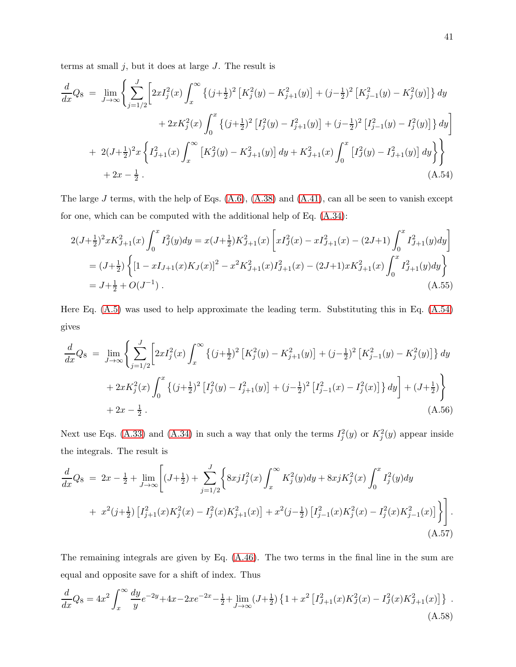terms at small  $j$ , but it does at large  $J$ . The result is

<span id="page-40-0"></span>
$$
\frac{d}{dx}Q_8 = \lim_{J \to \infty} \left\{ \sum_{j=1/2}^{J} \left[ 2xI_j^2(x) \int_x^{\infty} \left\{ (j+\frac{1}{2})^2 \left[ K_j^2(y) - K_{j+1}^2(y) \right] + (j-\frac{1}{2})^2 \left[ K_{j-1}^2(y) - K_j^2(y) \right] \right\} dy \right. \\
\left. + 2xK_j^2(x) \int_0^x \left\{ (j+\frac{1}{2})^2 \left[ I_j^2(y) - I_{j+1}^2(y) \right] + (j-\frac{1}{2})^2 \left[ I_{j-1}^2(y) - I_j^2(y) \right] \right\} dy \right\} \\
+ 2(J+\frac{1}{2})^2 x \left\{ I_{j+1}^2(x) \int_x^{\infty} \left[ K_j^2(y) - K_{j+1}^2(y) \right] dy + K_{j+1}^2(x) \int_0^x \left[ I_j^2(y) - I_{j+1}^2(y) \right] dy \right\} \right\} \\
+ 2x - \frac{1}{2} \,.
$$
\n(A.54)

The large  $J$  terms, with the help of Eqs.  $(A.6)$ ,  $(A.38)$  and  $(A.41)$ , can all be seen to vanish except for one, which can be computed with the additional help of Eq. [\(A.34\)](#page-36-2):

$$
2(J+\frac{1}{2})^{2}xK_{J+1}^{2}(x)\int_{0}^{x}I_{J}^{2}(y)dy = x(J+\frac{1}{2})K_{J+1}^{2}(x)\left[xI_{J}^{2}(x) - xI_{J+1}^{2}(x) - (2J+1)\int_{0}^{x}I_{J+1}^{2}(y)dy\right]
$$
  
=  $(J+\frac{1}{2})\left\{[1 - xI_{J+1}(x)K_{J}(x)]^{2} - x^{2}K_{J+1}^{2}(x)I_{J+1}^{2}(x) - (2J+1)xK_{J+1}^{2}(x)\int_{0}^{x}I_{J+1}^{2}(y)dy\right\}$   
=  $J+\frac{1}{2}+O(J^{-1})$ . (A.55)

Here Eq. [\(A.5\)](#page-33-0) was used to help approximate the leading term. Substituting this in Eq. [\(A.54\)](#page-40-0) gives

$$
\frac{d}{dx}Q_8 = \lim_{J \to \infty} \left\{ \sum_{j=1/2}^{J} \left[ 2xI_j^2(x) \int_x^{\infty} \left\{ (j+\frac{1}{2})^2 \left[ K_j^2(y) - K_{j+1}^2(y) \right] + (j-\frac{1}{2})^2 \left[ K_{j-1}^2(y) - K_j^2(y) \right] \right\} dy \right. \\
\left. + 2xK_j^2(x) \int_0^x \left\{ (j+\frac{1}{2})^2 \left[ I_j^2(y) - I_{j+1}^2(y) \right] + (j-\frac{1}{2})^2 \left[ I_{j-1}^2(x) - I_j^2(x) \right] \right\} dy \right] + (J+\frac{1}{2}) \right\} \\
+ 2x - \frac{1}{2}.
$$
\n(A.56)

Next use Eqs. [\(A.33\)](#page-36-3) and [\(A.34\)](#page-36-2) in such a way that only the terms  $I_j^2(y)$  or  $K_j^2(y)$  appear inside the integrals. The result is

$$
\frac{d}{dx}Q_8 = 2x - \frac{1}{2} + \lim_{J \to \infty} \left[ (J + \frac{1}{2}) + \sum_{j=1/2}^{J} \left\{ 8xjI_j^2(x) \int_x^{\infty} K_j^2(y)dy + 8xjK_j^2(x) \int_0^x I_j^2(y)dy \right. \right. \\
\left. + x^2(j + \frac{1}{2}) \left[ I_{j+1}^2(x)K_j^2(x) - I_j^2(x)K_{j+1}^2(x) \right] + x^2(j - \frac{1}{2}) \left[ I_{j-1}^2(x)K_j^2(x) - I_j^2(x)K_{j-1}^2(x) \right] \right\} \right].
$$
\n(A.57)

The remaining integrals are given by Eq. [\(A.46\)](#page-38-0). The two terms in the final line in the sum are equal and opposite save for a shift of index. Thus

<span id="page-40-1"></span>
$$
\frac{d}{dx}Q_8 = 4x^2 \int_x^{\infty} \frac{dy}{y} e^{-2y} + 4x - 2xe^{-2x} - \frac{1}{2} + \lim_{J \to \infty} (J + \frac{1}{2}) \left\{ 1 + x^2 \left[ I_{J+1}^2(x) K_J^2(x) - I_J^2(x) K_{J+1}^2(x) \right] \right\} \,. \tag{A.58}
$$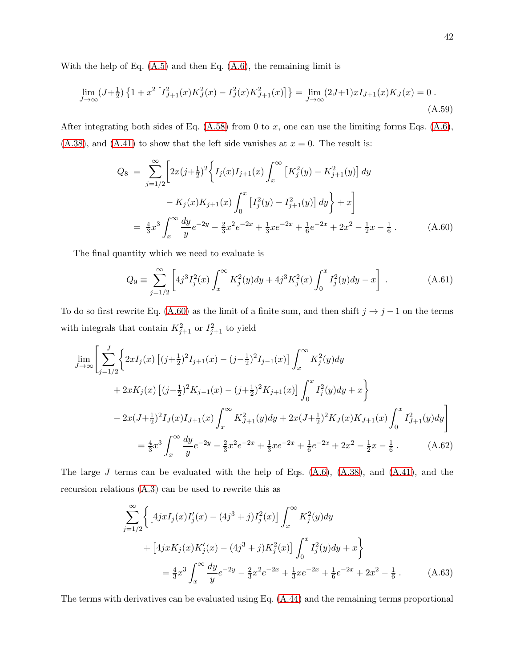With the help of Eq.  $(A.5)$  and then Eq.  $(A.6)$ , the remaining limit is

$$
\lim_{J \to \infty} (J + \frac{1}{2}) \left\{ 1 + x^2 \left[ I_{J+1}^2(x) K_J^2(x) - I_J^2(x) K_{J+1}^2(x) \right] \right\} = \lim_{J \to \infty} (2J+1) x I_{J+1}(x) K_J(x) = 0.
$$
\n(A.59)

After integrating both sides of Eq.  $(A.58)$  from 0 to x, one can use the limiting forms Eqs.  $(A.6)$ ,  $(A.38)$ , and  $(A.41)$  to show that the left side vanishes at  $x = 0$ . The result is:

<span id="page-41-0"></span>
$$
Q_8 = \sum_{j=1/2}^{\infty} \left[ 2x(j+\frac{1}{2})^2 \left\{ I_j(x)I_{j+1}(x) \int_x^{\infty} \left[ K_j^2(y) - K_{j+1}^2(y) \right] dy - K_j(x)K_{j+1}(x) \int_0^x \left[ I_j^2(y) - I_{j+1}^2(y) \right] dy \right\} + x \right]
$$
  
=  $\frac{4}{3}x^3 \int_x^{\infty} \frac{dy}{y} e^{-2y} - \frac{2}{3}x^2 e^{-2x} + \frac{1}{3}xe^{-2x} + \frac{1}{6}e^{-2x} + 2x^2 - \frac{1}{2}x - \frac{1}{6}.$  (A.60)

The final quantity which we need to evaluate is

$$
Q_9 \equiv \sum_{j=1/2}^{\infty} \left[ 4j^3 I_j^2(x) \int_x^{\infty} K_j^2(y) dy + 4j^3 K_j^2(x) \int_0^x I_j^2(y) dy - x \right] . \tag{A.61}
$$

To do so first rewrite Eq. [\(A.60\)](#page-41-0) as the limit of a finite sum, and then shift  $j \to j - 1$  on the terms with integrals that contain  $K_{j+1}^2$  or  $I_{j+1}^2$  to yield

$$
\lim_{J \to \infty} \left[ \sum_{j=1/2}^{J} \left\{ 2xI_j(x) \left[ (j+\frac{1}{2})^2 I_{j+1}(x) - (j-\frac{1}{2})^2 I_{j-1}(x) \right] \int_x^{\infty} K_j^2(y) dy \right. \right.\left. + 2xK_j(x) \left[ (j-\frac{1}{2})^2 K_{j-1}(x) - (j+\frac{1}{2})^2 K_{j+1}(x) \right] \int_0^x I_j^2(y) dy + x \right\}\n- 2x(J+\frac{1}{2})^2 I_J(x) I_{J+1}(x) \int_x^{\infty} K_{J+1}^2(y) dy + 2x(J+\frac{1}{2})^2 K_J(x) K_{J+1}(x) \int_0^x I_{J+1}^2(y) dy \right]\n= \frac{4}{3} x^3 \int_x^{\infty} \frac{dy}{y} e^{-2y} - \frac{2}{3} x^2 e^{-2x} + \frac{1}{3} x e^{-2x} + \frac{1}{6} e^{-2x} + 2x^2 - \frac{1}{2} x - \frac{1}{6}.
$$
\n(A.62)

The large  $J$  terms can be evaluated with the help of Eqs.  $(A.6)$ ,  $(A.38)$ , and  $(A.41)$ , and the recursion relations [\(A.3\)](#page-32-1) can be used to rewrite this as

$$
\sum_{j=1/2}^{\infty} \left\{ \left[ 4jxI_j(x)I'_j(x) - (4j^3 + j)I_j^2(x) \right] \int_x^{\infty} K_j^2(y) dy \right. \\
\left. + \left[ 4jxK_j(x)K'_j(x) - (4j^3 + j)K_j^2(x) \right] \int_0^x I_j^2(y) dy + x \right\} \\
= \frac{4}{3}x^3 \int_x^{\infty} \frac{dy}{y} e^{-2y} - \frac{2}{3}x^2 e^{-2x} + \frac{1}{3}xe^{-2x} + \frac{1}{6}e^{-2x} + 2x^2 - \frac{1}{6} . \tag{A.63}
$$

The terms with derivatives can be evaluated using Eq. [\(A.44\)](#page-38-1) and the remaining terms proportional